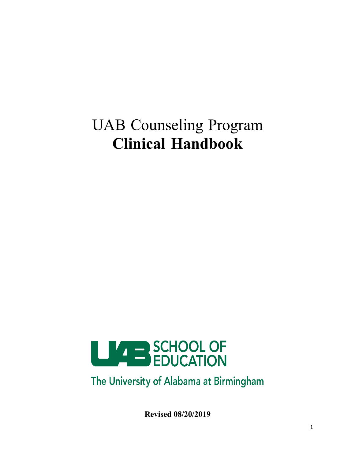# UAB Counseling Program **Clinical Handbook**



The University of Alabama at Birmingham

**Revised 08/20/2019**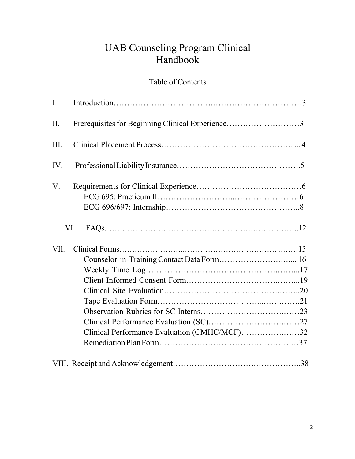# UAB Counseling Program Clinical Handbook

# Table of Contents

| $\mathbf{I}$ . |                                                  |  |
|----------------|--------------------------------------------------|--|
| II.            | Prerequisites for Beginning Clinical Experience3 |  |
| III.           |                                                  |  |
| IV.            |                                                  |  |
| V.             |                                                  |  |
|                | VI.                                              |  |
| VII.           |                                                  |  |
|                |                                                  |  |
|                |                                                  |  |
|                |                                                  |  |
|                |                                                  |  |
|                |                                                  |  |
|                |                                                  |  |
|                |                                                  |  |
|                | Clinical Performance Evaluation (CMHC/MCF)32     |  |
|                |                                                  |  |
|                |                                                  |  |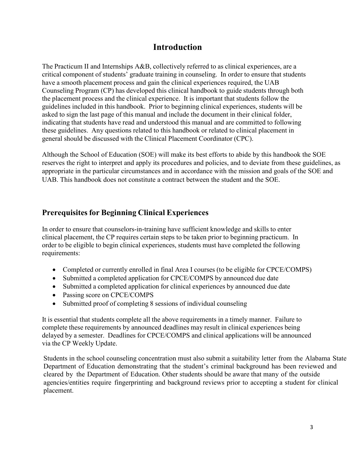# **Introduction**

The Practicum II and Internships A&B, collectively referred to as clinical experiences, are a critical component of students' graduate training in counseling. In order to ensure that students have a smooth placement process and gain the clinical experiences required, the UAB Counseling Program (CP) has developed this clinical handbook to guide students through both the placement process and the clinical experience. It is important that students follow the guidelines included in this handbook. Prior to beginning clinical experiences, students will be asked to sign the last page of this manual and include the document in their clinical folder, indicating that students have read and understood this manual and are committed to following these guidelines. Any questions related to this handbook or related to clinical placement in general should be discussed with the Clinical Placement Coordinator (CPC).

Although the School of Education (SOE) will make its best efforts to abide by this handbook the SOE reserves the right to interpret and apply its procedures and policies, and to deviate from these guidelines, as appropriate in the particular circumstances and in accordance with the mission and goals of the SOE and UAB. This handbook does not constitute a contract between the student and the SOE.

# **Prerequisites for Beginning Clinical Experiences**

In order to ensure that counselors-in-training have sufficient knowledge and skills to enter clinical placement, the CP requires certain steps to be taken prior to beginning practicum. In order to be eligible to begin clinical experiences, students must have completed the following requirements:

- Completed or currently enrolled in final Area I courses (to be eligible for CPCE/COMPS)
- Submitted a completed application for CPCE/COMPS by announced due date
- Submitted a completed application for clinical experiences by announced due date
- Passing score on CPCE/COMPS
- Submitted proof of completing 8 sessions of individual counseling

It is essential that students complete all the above requirements in a timely manner. Failure to complete these requirements by announced deadlines may result in clinical experiences being delayed by a semester. Deadlines for CPCE/COMPS and clinical applications will be announced via the CP Weekly Update.

Students in the school counseling concentration must also submit a suitability letter from the Alabama State Department of Education demonstrating that the student's criminal background has been reviewed and cleared by the Department of Education. Other students should be aware that many of the outside agencies/entities require fingerprinting and background reviews prior to accepting a student for clinical placement.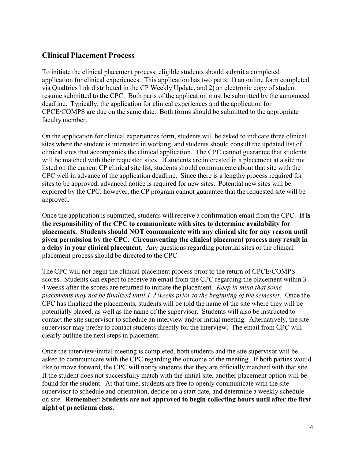# **Clinical Placement Process**

To initiate the clinical placement process, eligible students should submit a completed application for clinical experiences. This application has two parts: 1) an online form completed via Qualtrics link distributed in the CP Weekly Update, and 2) an electronic copy of student resume submitted to the CPC. Both parts of the application must be submitted by the announced deadline. Typically, the application for clinical experiences and the application for CPCE/COMPS are due on the same date. Both forms should be submitted to the appropriate faculty member.

On the application for clinical experiences form, students will be asked to indicate three clinical sites where the student is interested in working, and students should consult the updated list of clinical sites that accompanies the clinical application. The CPC cannot guarantee that students will be matched with their requested sites. If students are interested in a placement at a site not listed on the current CP clinical site list, students should communicate about that site with the CPC well in advance of the application deadline. Since there is a lengthy process required for sites to be approved, advanced notice is required for new sites. Potential new sites will be explored by the CPC; however, the CP program cannot guarantee that the requested site will be approved.

Once the application is submitted, students will receive a confirmation email from the CPC. **It is the responsibility of the CPC to communicate with sites to determine availability for placements. Students should NOT communicate with any clinical site for any reason until given permission by the CPC. Circumventing the clinical placement process may result in a delay in your clinical placement.** Any questions regarding potential sites or the clinical placement process should be directed to the CPC.

The CPC will not begin the clinical placement process prior to the return of CPCE/COMPS scores. Students can expect to receive an email from the CPC regarding the placement within 3- 4 weeks after the scores are returned to initiate the placement. *Keep in mind that some placements may not be finalized until 1-2 weeks prior to the beginning of the semester.* Once the CPC has finalized the placements, students will be told the name of the site where they will be potentially placed, as well as the name of the supervisor. Students will also be instructed to contact the site supervisor to schedule an interview and/or initial meeting. Alternatively, the site supervisor may prefer to contact students directly for the interview. The email from CPC will clearly outline the next steps in placement.

Once the interview/initial meeting is completed, both students and the site supervisor will be asked to communicate with the CPC regarding the outcome of the meeting. If both parties would like to move forward, the CPC will notify students that they are officially matched with that site. If the student does not successfully match with the initial site, another placement option will be found for the student. At that time, students are free to openly communicate with the site supervisor to schedule and orientation, decide on a start date, and determine a weekly schedule on site. **Remember: Students are not approved to begin collecting hours until after the first night of practicum class.**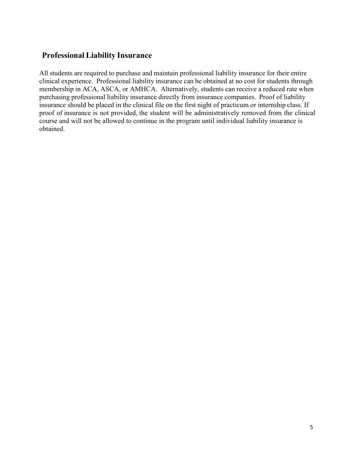# **Professional Liability Insurance**

All students are required to purchase and maintain professional liability insurance for their entire clinical experience. Professional liability insurance can be obtained at no cost for students through membership in ACA, ASCA, or AMHCA. Alternatively, students can receive a reduced rate when purchasing professional liability insurance directly from insurance companies. Proof of liability insurance should be placed in the clinical file on the first night of practicum or internship class. If proof of insurance is not provided, the student will be administratively removed from the clinical course and will not be allowed to continue in the program until individual liability insurance is obtained.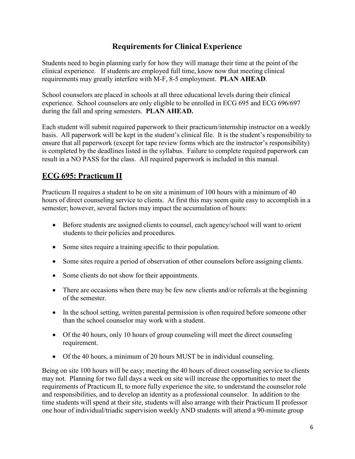# **Requirements for Clinical Experience**

Students need to begin planning early for how they will manage their time at the point of the clinical experience. If students are employed full time, know now that meeting clinical requirements may greatly interfere with M-F, 8-5 employment. **PLAN AHEAD**.

School counselors are placed in schools at all three educational levels during their clinical experience. School counselors are only eligible to be enrolled in ECG 695 and ECG 696/697 during the fall and spring semesters. **PLAN AHEAD.**

Each student will submit required paperwork to their practicum/internship instructor on a weekly basis. All paperwork will be kept in the student's clinical file. It is the student's responsibility to ensure that all paperwork (except for tape review forms which are the instructor's responsibility) is completed by the deadlines listed in the syllabus. Failure to complete required paperwork can result in a NO PASS for the class. All required paperwork is included in this manual.

# **ECG 695: Practicum II**

Practicum II requires a student to be on site a minimum of 100 hours with a minimum of 40 hours of direct counseling service to clients. At first this may seem quite easy to accomplish in a semester; however, several factors may impact the accumulation of hours:

- Before students are assigned clients to counsel, each agency/school will want to orient students to their policies and procedures.
- Some sites require a training specific to their population.
- Some sites require a period of observation of other counselors before assigning clients.
- Some clients do not show for their appointments.
- There are occasions when there may be few new clients and/or referrals at the beginning of the semester.
- In the school setting, written parental permission is often required before someone other than the school counselor may work with a student.
- Of the 40 hours, only 10 hours of group counseling will meet the direct counseling requirement.
- Of the 40 hours, a minimum of 20 hours MUST be in individual counseling.

Being on site 100 hours will be easy; meeting the 40 hours of direct counseling service to clients may not. Planning for two full days a week on site will increase the opportunities to meet the requirements of Practicum II, to more fully experience the site, to understand the counselor role and responsibilities, and to develop an identity as a professional counselor. In addition to the time students will spend at their site, students will also arrange with their Practicum II professor one hour of individual/triadic supervision weekly AND students will attend a 90-minute group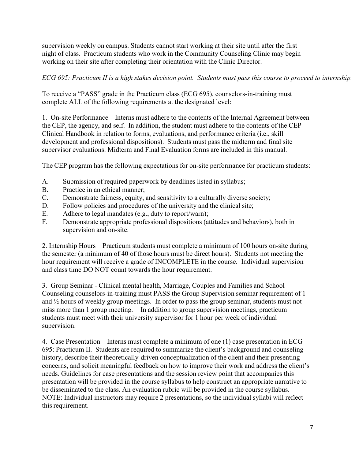supervision weekly on campus. Students cannot start working at their site until after the first night of class. Practicum students who work in the Community Counseling Clinic may begin working on their site after completing their orientation with the Clinic Director.

*ECG 695: Practicum II is a high stakes decision point. Students must pass this course to proceed to internship.*

To receive a "PASS" grade in the Practicum class (ECG 695), counselors-in-training must complete ALL of the following requirements at the designated level:

1. On-site Performance – Interns must adhere to the contents of the Internal Agreement between the CEP, the agency, and self. In addition, the student must adhere to the contents of the CEP Clinical Handbook in relation to forms, evaluations, and performance criteria (i.e., skill development and professional dispositions). Students must pass the midterm and final site supervisor evaluations. Midterm and Final Evaluation forms are included in this manual.

The CEP program has the following expectations for on-site performance for practicum students:

- A. Submission of required paperwork by deadlines listed in syllabus;
- B. Practice in an ethical manner;
- C. Demonstrate fairness, equity, and sensitivity to a culturally diverse society;
- D. Follow policies and procedures of the university and the clinical site;
- E. Adhere to legal mandates (e.g., duty to report/warn);
- F. Demonstrate appropriate professional dispositions (attitudes and behaviors), both in supervision and on-site.

2. Internship Hours – Practicum students must complete a minimum of 100 hours on-site during the semester (a minimum of 40 of those hours must be direct hours). Students not meeting the hour requirement will receive a grade of INCOMPLETE in the course. Individual supervision and class time DO NOT count towards the hour requirement.

3. Group Seminar - Clinical mental health, Marriage, Couples and Families and School Counseling counselors-in-training must PASS the Group Supervision seminar requirement of 1 and ½ hours of weekly group meetings. In order to pass the group seminar, students must not miss more than 1 group meeting. In addition to group supervision meetings, practicum students must meet with their university supervisor for 1 hour per week of individual supervision.

4. Case Presentation – Interns must complete a minimum of one (1) case presentation in ECG 695: Practicum II. Students are required to summarize the client's background and counseling history, describe their theoretically-driven conceptualization of the client and their presenting concerns, and solicit meaningful feedback on how to improve their work and address the client's needs. Guidelines for case presentations and the session review point that accompanies this presentation will be provided in the course syllabus to help construct an appropriate narrative to be disseminated to the class. An evaluation rubric will be provided in the course syllabus. NOTE: Individual instructors may require 2 presentations, so the individual syllabi will reflect this requirement.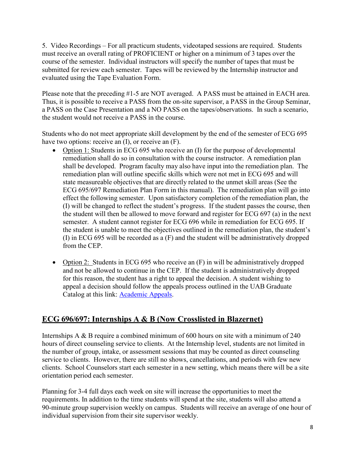5. Video Recordings – For all practicum students, videotaped sessions are required. Students must receive an overall rating of PROFICIENT or higher on a minimum of 3 tapes over the course of the semester. Individual instructors will specify the number of tapes that must be submitted for review each semester. Tapes will be reviewed by the Internship instructor and evaluated using the Tape Evaluation Form.

Please note that the preceding #1-5 are NOT averaged. A PASS must be attained in EACH area. Thus, it is possible to receive a PASS from the on-site supervisor, a PASS in the Group Seminar, a PASS on the Case Presentation and a NO PASS on the tapes/observations. In such a scenario, the student would not receive a PASS in the course.

Students who do not meet appropriate skill development by the end of the semester of ECG 695 have two options: receive an (I), or receive an (F).

- Option 1: Students in ECG 695 who receive an (I) for the purpose of developmental remediation shall do so in consultation with the course instructor. A remediation plan shall be developed. Program faculty may also have input into the remediation plan. The remediation plan will outline specific skills which were not met in ECG 695 and will state measureable objectives that are directly related to the unmet skill areas (See the ECG 695/697 Remediation Plan Form in this manual). The remediation plan will go into effect the following semester. Upon satisfactory completion of the remediation plan, the (I) will be changed to reflect the student's progress. If the student passes the course, then the student will then be allowed to move forward and register for ECG 697 (a) in the next semester. A student cannot register for ECG 696 while in remediation for ECG 695. If the student is unable to meet the objectives outlined in the remediation plan, the student's (I) in ECG 695 will be recorded as a (F) and the student will be administratively dropped from the CEP.
- Option 2: Students in ECG 695 who receive an (F) in will be administratively dropped and not be allowed to continue in the CEP. If the student is administratively dropped for this reason, the student has a right to appeal the decision. A student wishing to appeal a decision should follow the appeals process outlined in the UAB Graduate Catalog at this link: [Academic Appeals.](http://catalog.uab.edu/graduate/academicprogress/#graduateschoolappealsboardgsabtext)

# **ECG 696/697: Internships A & B (Now Crosslisted in Blazernet)**

Internships A & B require a combined minimum of 600 hours on site with a minimum of 240 hours of direct counseling service to clients. At the Internship level, students are not limited in the number of group, intake, or assessment sessions that may be counted as direct counseling service to clients. However, there are still no shows, cancellations, and periods with few new clients. School Counselors start each semester in a new setting, which means there will be a site orientation period each semester.

Planning for 3-4 full days each week on site will increase the opportunities to meet the requirements. In addition to the time students will spend at the site, students will also attend a 90-minute group supervision weekly on campus. Students will receive an average of one hour of individual supervision from their site supervisor weekly.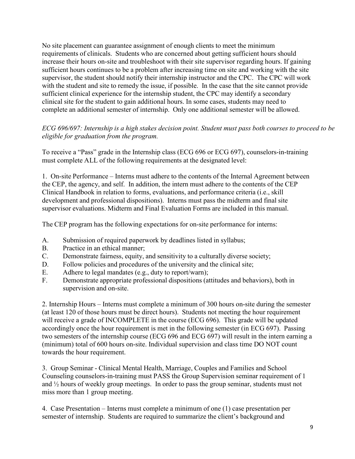No site placement can guarantee assignment of enough clients to meet the minimum requirements of clinicals. Students who are concerned about getting sufficient hours should increase their hours on-site and troubleshoot with their site supervisor regarding hours. If gaining sufficient hours continues to be a problem after increasing time on site and working with the site supervisor, the student should notify their internship instructor and the CPC. The CPC will work with the student and site to remedy the issue, if possible. In the case that the site cannot provide sufficient clinical experience for the internship student, the CPC may identify a secondary clinical site for the student to gain additional hours. In some cases, students may need to complete an additional semester of internship. Only one additional semester will be allowed.

#### *ECG 696/697: Internship is a high stakes decision point. Student must pass both courses to proceed to be eligible for graduation from the program.*

To receive a "Pass" grade in the Internship class (ECG 696 or ECG 697), counselors-in-training must complete ALL of the following requirements at the designated level:

1. On-site Performance – Interns must adhere to the contents of the Internal Agreement between the CEP, the agency, and self. In addition, the intern must adhere to the contents of the CEP Clinical Handbook in relation to forms, evaluations, and performance criteria (i.e., skill development and professional dispositions). Interns must pass the midterm and final site supervisor evaluations. Midterm and Final Evaluation Forms are included in this manual.

The CEP program has the following expectations for on-site performance for interns:

- A. Submission of required paperwork by deadlines listed in syllabus;
- B. Practice in an ethical manner;
- C. Demonstrate fairness, equity, and sensitivity to a culturally diverse society;
- D. Follow policies and procedures of the university and the clinical site;
- E. Adhere to legal mandates (e.g., duty to report/warn);
- F. Demonstrate appropriate professional dispositions (attitudes and behaviors), both in supervision and on-site.

2. Internship Hours – Interns must complete a minimum of 300 hours on-site during the semester (at least 120 of those hours must be direct hours). Students not meeting the hour requirement will receive a grade of INCOMPLETE in the course (ECG 696). This grade will be updated accordingly once the hour requirement is met in the following semester (in ECG 697). Passing two semesters of the internship course (ECG 696 and ECG 697) will result in the intern earning a (minimum) total of 600 hours on-site. Individual supervision and class time DO NOT count towards the hour requirement.

3. Group Seminar - Clinical Mental Health, Marriage, Couples and Families and School Counseling counselors-in-training must PASS the Group Supervision seminar requirement of 1 and ½ hours of weekly group meetings. In order to pass the group seminar, students must not miss more than 1 group meeting.

4. Case Presentation – Interns must complete a minimum of one (1) case presentation per semester of internship. Students are required to summarize the client's background and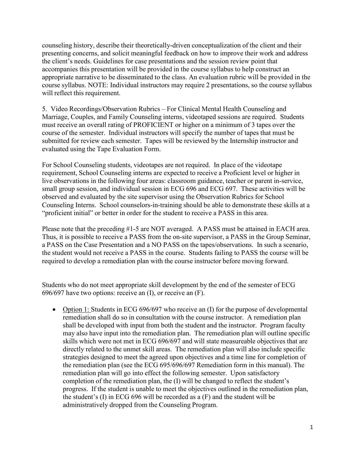counseling history, describe their theoretically-driven conceptualization of the client and their presenting concerns, and solicit meaningful feedback on how to improve their work and address the client's needs. Guidelines for case presentations and the session review point that accompanies this presentation will be provided in the course syllabus to help construct an appropriate narrative to be disseminated to the class. An evaluation rubric will be provided in the course syllabus. NOTE: Individual instructors may require 2 presentations, so the course syllabus will reflect this requirement.

5. Video Recordings/Observation Rubrics – For Clinical Mental Health Counseling and Marriage, Couples, and Family Counseling interns, videotaped sessions are required. Students must receive an overall rating of PROFICIENT or higher on a minimum of 3 tapes over the course of the semester. Individual instructors will specify the number of tapes that must be submitted for review each semester. Tapes will be reviewed by the Internship instructor and evaluated using the Tape Evaluation Form.

For School Counseling students, videotapes are not required. In place of the videotape requirement, School Counseling interns are expected to receive a Proficient level or higher in live observations in the following four areas: classroom guidance, teacher or parent in-service, small group session, and individual session in ECG 696 and ECG 697. These activities will be observed and evaluated by the site supervisor using the Observation Rubrics for School Counseling Interns. School counselors-in-training should be able to demonstrate these skills at a "proficient initial" or better in order for the student to receive a PASS in this area.

Please note that the preceding #1-5 are NOT averaged. A PASS must be attained in EACH area. Thus, it is possible to receive a PASS from the on-site supervisor, a PASS in the Group Seminar, a PASS on the Case Presentation and a NO PASS on the tapes/observations. In such a scenario, the student would not receive a PASS in the course. Students failing to PASS the course will be required to develop a remediation plan with the course instructor before moving forward.

Students who do not meet appropriate skill development by the end of the semester of ECG 696/697 have two options: receive an (I), or receive an (F).

• Option 1: Students in ECG 696/697 who receive an (I) for the purpose of developmental remediation shall do so in consultation with the course instructor. A remediation plan shall be developed with input from both the student and the instructor. Program faculty may also have input into the remediation plan. The remediation plan will outline specific skills which were not met in ECG 696/697 and will state measureable objectives that are directly related to the unmet skill areas. The remediation plan will also include specific strategies designed to meet the agreed upon objectives and a time line for completion of the remediation plan (see the ECG 695/696/697 Remediation form in this manual). The remediation plan will go into effect the following semester. Upon satisfactory completion of the remediation plan, the (I) will be changed to reflect the student's progress. If the student is unable to meet the objectives outlined in the remediation plan, the student's (I) in ECG 696 will be recorded as a (F) and the student will be administratively dropped from the Counseling Program.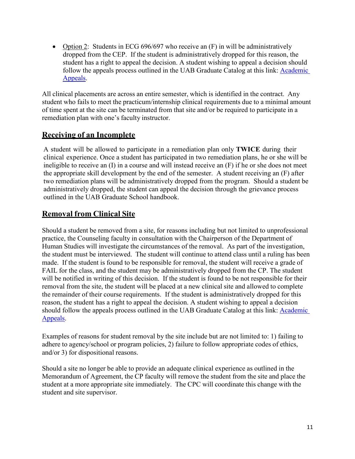• Option 2: Students in ECG 696/697 who receive an (F) in will be administratively dropped from the CEP. If the student is administratively dropped for this reason, the student has a right to appeal the decision. A student wishing to appeal a decision should follow the appeals process outlined in the UAB Graduate Catalog at this link: [Academic](http://catalog.uab.edu/graduate/academicprogress/#graduateschoolappealsboardgsabtext)  [Appeals.](http://catalog.uab.edu/graduate/academicprogress/#graduateschoolappealsboardgsabtext)

All clinical placements are across an entire semester, which is identified in the contract. Any student who fails to meet the practicum/internship clinical requirements due to a minimal amount of time spent at the site can be terminated from that site and/or be required to participate in a remediation plan with one's faculty instructor.

# **Receiving of an Incomplete**

A student will be allowed to participate in a remediation plan only **TWICE** during their clinical experience. Once a student has participated in two remediation plans, he or she will be ineligible to receive an (I) in a course and will instead receive an (F) if he or she does not meet the appropriate skill development by the end of the semester. A student receiving an (F) after two remediation plans will be administratively dropped from the program. Should a student be administratively dropped, the student can appeal the decision through the grievance process outlined in the UAB Graduate School handbook.

# **Removal from Clinical Site**

Should a student be removed from a site, for reasons including but not limited to unprofessional practice, the Counseling faculty in consultation with the Chairperson of the Department of Human Studies will investigate the circumstances of the removal. As part of the investigation, the student must be interviewed. The student will continue to attend class until a ruling has been made. If the student is found to be responsible for removal, the student will receive a grade of FAIL for the class, and the student may be administratively dropped from the CP. The student will be notified in writing of this decision. If the student is found to be not responsible for their removal from the site, the student will be placed at a new clinical site and allowed to complete the remainder of their course requirements. If the student is administratively dropped for this reason, the student has a right to appeal the decision. A student wishing to appeal a decision should follow the appeals process outlined in the UAB Graduate Catalog at this link: [Academic](http://catalog.uab.edu/graduate/academicprogress/#graduateschoolappealsboardgsabtext)  [Appeals.](http://catalog.uab.edu/graduate/academicprogress/#graduateschoolappealsboardgsabtext)

Examples of reasons for student removal by the site include but are not limited to: 1) failing to adhere to agency/school or program policies, 2) failure to follow appropriate codes of ethics, and/or 3) for dispositional reasons.

Should a site no longer be able to provide an adequate clinical experience as outlined in the Memorandum of Agreement, the CP faculty will remove the student from the site and place the student at a more appropriate site immediately. The CPC will coordinate this change with the student and site supervisor.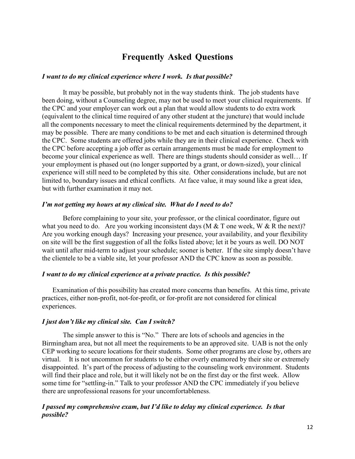# **Frequently Asked Questions**

#### *I want to do my clinical experience where I work. Is that possible?*

It may be possible, but probably not in the way students think. The job students have been doing, without a Counseling degree, may not be used to meet your clinical requirements. If the CPC and your employer can work out a plan that would allow students to do extra work (equivalent to the clinical time required of any other student at the juncture) that would include all the components necessary to meet the clinical requirements determined by the department, it may be possible. There are many conditions to be met and each situation is determined through the CPC. Some students are offered jobs while they are in their clinical experience. Check with the CPC before accepting a job offer as certain arrangements must be made for employment to become your clinical experience as well. There are things students should consider as well… If your employment is phased out (no longer supported by a grant, or down-sized), your clinical experience will still need to be completed by this site. Other considerations include, but are not limited to, boundary issues and ethical conflicts. At face value, it may sound like a great idea, but with further examination it may not.

#### *I'm not getting my hours at my clinical site. What do I need to do?*

Before complaining to your site, your professor, or the clinical coordinator, figure out what you need to do. Are you working inconsistent days (M  $&$  T one week, W  $&$  R the next)? Are you working enough days? Increasing your presence, your availability, and your flexibility on site will be the first suggestion of all the folks listed above; let it be yours as well. DO NOT wait until after mid-term to adjust your schedule; sooner is better. If the site simply doesn't have the clientele to be a viable site, let your professor AND the CPC know as soon as possible.

#### *I want to do my clinical experience at a private practice. Is this possible?*

Examination of this possibility has created more concerns than benefits. At this time, private practices, either non-profit, not-for-profit, or for-profit are not considered for clinical experiences.

#### *I just don't like my clinical site. Can I switch?*

The simple answer to this is "No." There are lots of schools and agencies in the Birmingham area, but not all meet the requirements to be an approved site. UAB is not the only CEP working to secure locations for their students. Some other programs are close by, others are virtual. It is not uncommon for students to be either overly enamored by their site or extremely disappointed. It's part of the process of adjusting to the counseling work environment. Students will find their place and role, but it will likely not be on the first day or the first week. Allow some time for "settling-in." Talk to your professor AND the CPC immediately if you believe there are unprofessional reasons for your uncomfortableness.

#### *I passed my comprehensive exam, but I'd like to delay my clinical experience. Is that possible?*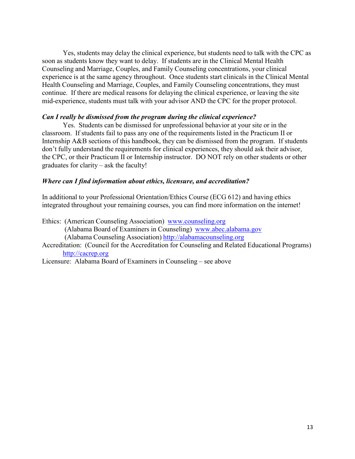Yes, students may delay the clinical experience, but students need to talk with the CPC as soon as students know they want to delay. If students are in the Clinical Mental Health Counseling and Marriage, Couples, and Family Counseling concentrations, your clinical experience is at the same agency throughout. Once students start clinicals in the Clinical Mental Health Counseling and Marriage, Couples, and Family Counseling concentrations, they must continue. If there are medical reasons for delaying the clinical experience, or leaving the site mid-experience, students must talk with your advisor AND the CPC for the proper protocol.

#### *Can I really be dismissed from the program during the clinical experience?*

Yes. Students can be dismissed for unprofessional behavior at your site or in the classroom. If students fail to pass any one of the requirements listed in the Practicum II or Internship A&B sections of this handbook, they can be dismissed from the program. If students don't fully understand the requirements for clinical experiences, they should ask their advisor, the CPC, or their Practicum II or Internship instructor. DO NOT rely on other students or other graduates for clarity – ask the faculty!

#### *Where can I find information about ethics, licensure, and accreditation?*

In additional to your Professional Orientation/Ethics Course (ECG 612) and having ethics integrated throughout your remaining courses, you can find more information on the internet!

Ethics: (American Counseling Association) [www.counseling.org](http://www.counseling.org/) (Alabama Board of Examiners in Counseling) [www.abec.alabama.gov](http://www.abec.alabama.gov/) (Alabama Counseling Association) [http://alabamacounseling.org](http://alabamacounseling.org/) Accreditation: (Council for the Accreditation for Counseling and Related Educational Programs) [http://cacrep.org](http://cacrep.org/)

Licensure: Alabama Board of Examiners in Counseling – see above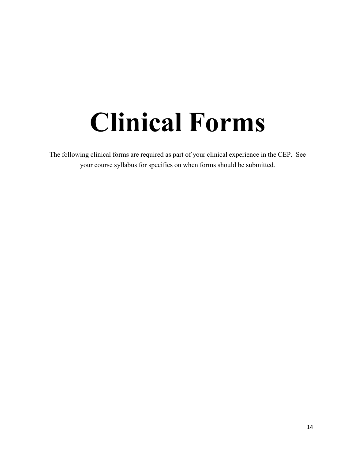# **Clinical Forms**

The following clinical forms are required as part of your clinical experience in the CEP. See your course syllabus for specifics on when forms should be submitted.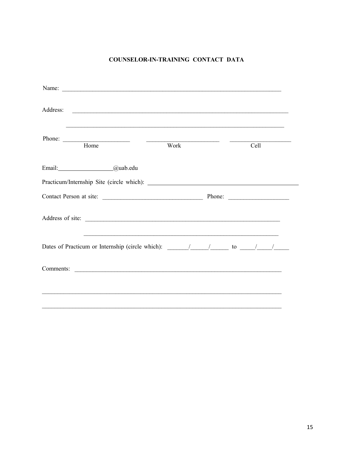#### COUNSELOR-IN-TRAINING CONTACT DATA

| Name:                                                                                                                                                                                                                               |  |      |  |
|-------------------------------------------------------------------------------------------------------------------------------------------------------------------------------------------------------------------------------------|--|------|--|
| Address:<br><u> 1989 - Johann Harry Harry Harry Harry Harry Harry Harry Harry Harry Harry Harry Harry Harry Harry Harry Harry</u>                                                                                                   |  |      |  |
| <u> 1989 - Andrea San Andrea San Andrea San Andrea San Andrea San Andrea San Andrea San Andrea San Andrea San Andr</u><br>Phone:<br>Home<br>Work                                                                                    |  | Cell |  |
| Email: <u>2008</u> 2010 2021 2021 2022 2022 2023 2024 2022 2022 2023 2024 2022 2023 2024 2022 2023 2024 2025 2022 2023 2024 2025 2022 2023 2024 2025 2027 2028 2027 2023 2024 2025 2027 2028 2024 2025 2027 2028 2027 2028 2027 202 |  |      |  |
|                                                                                                                                                                                                                                     |  |      |  |
|                                                                                                                                                                                                                                     |  |      |  |
|                                                                                                                                                                                                                                     |  |      |  |
| <u> 1989 - Johann Stoff, amerikansk politiker (d. 1989)</u><br>Dates of Practicum or Internship (circle which): $\frac{1}{\sqrt{1-\frac{1}{n}}}$ to $\frac{1}{\sqrt{1-\frac{1}{n}}}$                                                |  |      |  |
|                                                                                                                                                                                                                                     |  |      |  |
|                                                                                                                                                                                                                                     |  |      |  |
|                                                                                                                                                                                                                                     |  |      |  |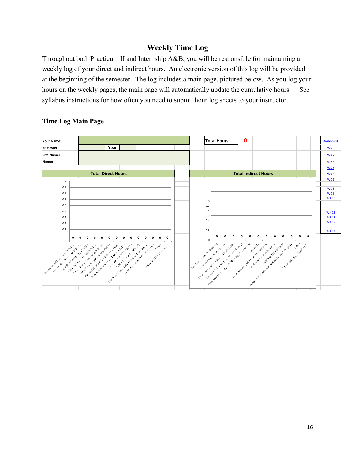# **Weekly Time Log**

Throughout both Practicum II and Internship A&B, you will be responsible for maintaining a weekly log of your direct and indirect hours. An electronic version of this log will be provided at the beginning of the semester. The log includes a main page, pictured below. As you log your hours on the weekly pages, the main page will automatically update the cumulative hours. See syllabus instructions for how often you need to submit hour log sheets to your instructor.



#### **Time Log Main Page**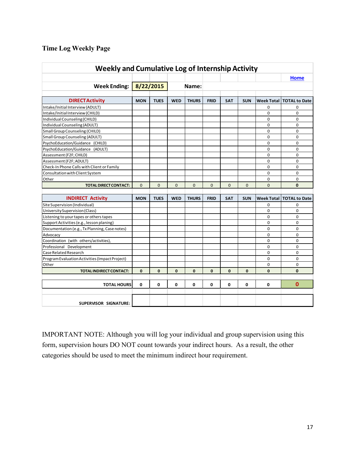#### **Time Log Weekly Page**

| <b>Weekly and Cumulative Log of Internship Activity</b> |              |              |              |              |              |              |              |                   |                      |
|---------------------------------------------------------|--------------|--------------|--------------|--------------|--------------|--------------|--------------|-------------------|----------------------|
|                                                         |              |              |              |              |              |              |              |                   | <b>Home</b>          |
| <b>Week Ending:</b>                                     |              | 8/22/2015    |              | Name:        |              |              |              |                   |                      |
|                                                         |              |              |              |              |              |              |              |                   |                      |
| <b>DIRECTActivity</b>                                   | <b>MON</b>   | <b>TUES</b>  | <b>WED</b>   | <b>THURS</b> | <b>FRID</b>  | <b>SAT</b>   | <b>SUN</b>   | <b>Week Total</b> | <b>TOTAL to Date</b> |
| Intake/Initial Interview (ADULT)                        |              |              |              |              |              |              |              | 0                 | $\Omega$             |
| Intake/Initial Interview (CHILD)                        |              |              |              |              |              |              |              | 0                 | 0                    |
| Individual Counseling (CHILD)                           |              |              |              |              |              |              |              | 0                 | $\Omega$             |
| <b>Individual Counseling (ADULT)</b>                    |              |              |              |              |              |              |              | 0                 | 0                    |
| Small Group Counseling (CHILD)                          |              |              |              |              |              |              |              | 0                 | 0                    |
| <b>Small Group Counseling (ADULT)</b>                   |              |              |              |              |              |              |              | 0                 | 0                    |
| PsychoEducation/Guidance (CHILD)                        |              |              |              |              |              |              |              | 0                 | 0                    |
| PsychoEducation/Guidance (ADULT)                        |              |              |              |              |              |              |              | 0                 | 0                    |
| Assessment (F2F; CHILD)                                 |              |              |              |              |              |              |              | 0                 | 0                    |
| Assessment (F2F; ADULT)                                 |              |              |              |              |              |              |              | 0                 | $\Omega$             |
| Check-In Phone Calls with Client or Family              |              |              |              |              |              |              |              | 0                 | 0                    |
| Consultation with Client System                         |              |              |              |              |              |              |              | 0                 | 0                    |
| Other                                                   |              |              |              |              |              |              |              | $\Omega$          | 0                    |
| <b>TOTAL DIRECT CONTACT:</b>                            | $\Omega$     | $\mathbf{0}$ | $\Omega$     | $\mathbf{0}$ | $\Omega$     | $\Omega$     | $\Omega$     | $\Omega$          | $\mathbf{0}$         |
|                                                         |              |              |              |              |              |              |              |                   |                      |
| <b>INDIRECT Activity</b>                                | <b>MON</b>   | <b>TUES</b>  | <b>WED</b>   | <b>THURS</b> | <b>FRID</b>  | <b>SAT</b>   | <b>SUN</b>   | <b>Week Total</b> | <b>TOTAL to Date</b> |
| Site Supervision (Individual)                           |              |              |              |              |              |              |              | 0                 | 0                    |
| University Supervision (Class)                          |              |              |              |              |              |              |              | 0                 | 0                    |
| Listening to your tapes or others tapes                 |              |              |              |              |              |              |              | 0                 | 0                    |
| Support Activities (e.g., lesson planing)               |              |              |              |              |              |              |              | 0                 | 0                    |
| Documentation (e.g., Tx Planning, Case notes)           |              |              |              |              |              |              |              | 0                 | 0                    |
| Advocacy                                                |              |              |              |              |              |              |              | 0                 | 0                    |
| Coordination (with others/activities),                  |              |              |              |              |              |              |              | 0                 | 0                    |
| Professional Development                                |              |              |              |              |              |              |              | 0                 | 0                    |
| Case Related Research                                   |              |              |              |              |              |              |              | 0                 | 0                    |
| Program Evaluation Activities (Impact Project)          |              |              |              |              |              |              |              | 0                 | 0                    |
| Other                                                   |              |              |              |              |              |              |              | 0                 | $\Omega$             |
| <b>TOTALINDIRECT CONTACT:</b>                           | $\mathbf{0}$ | $\mathbf 0$  | $\mathbf{0}$ | $\mathbf{0}$ | $\mathbf{0}$ | $\mathbf{0}$ | $\mathbf{0}$ | $\mathbf{0}$      | $\mathbf{0}$         |
|                                                         |              |              |              |              |              |              |              |                   |                      |
| <b>TOTAL HOURS</b>                                      | 0            | 0            | 0            | 0            | 0            | 0            | 0            | 0                 | $\mathbf{0}$         |
|                                                         |              |              |              |              |              |              |              |                   |                      |
| SUPERVISOR SIGNATURE:                                   |              |              |              |              |              |              |              |                   |                      |

IMPORTANT NOTE: Although you will log your individual and group supervision using this form, supervision hours DO NOT count towards your indirect hours. As a result, the other categories should be used to meet the minimum indirect hour requirement.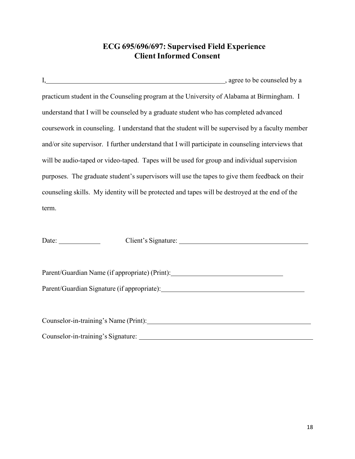# **ECG 695/696/697: Supervised Field Experience Client Informed Consent**

|                                                                                      | I, gree to be counseled by a gree to be counseled by a                                             |
|--------------------------------------------------------------------------------------|----------------------------------------------------------------------------------------------------|
|                                                                                      | practicum student in the Counseling program at the University of Alabama at Birmingham. I          |
| understand that I will be counseled by a graduate student who has completed advanced |                                                                                                    |
|                                                                                      | coursework in counseling. I understand that the student will be supervised by a faculty member     |
|                                                                                      | and/or site supervisor. I further understand that I will participate in counseling interviews that |
|                                                                                      | will be audio-taped or video-taped. Tapes will be used for group and individual supervision        |
|                                                                                      | purposes. The graduate student's supervisors will use the tapes to give them feedback on their     |
|                                                                                      | counseling skills. My identity will be protected and tapes will be destroyed at the end of the     |
| term.                                                                                |                                                                                                    |
|                                                                                      |                                                                                                    |
| Date: $\frac{1}{\sqrt{1-\frac{1}{2}} \cdot \frac{1}{2}}$                             |                                                                                                    |
|                                                                                      |                                                                                                    |
|                                                                                      |                                                                                                    |

Parent/Guardian Name (if appropriate) (Print): \_\_\_\_\_\_\_\_\_\_\_\_\_\_\_\_\_\_\_\_\_\_\_\_\_\_\_\_\_\_\_\_\_

Parent/Guardian Signature (if appropriate):

| Counselor-in-training's Name (Print): |  |
|---------------------------------------|--|
| Counselor-in-training's Signature:    |  |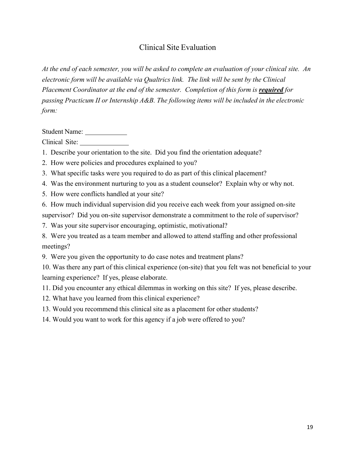# Clinical Site Evaluation

At the end of each semester, you will be asked to complete an evaluation of your clinical site. An *electronic form will be available via Qualtrics link. The link will be sent by the Clinical Placement Coordinator at the end of the semester. Completion of this form is required for passing Practicum II or Internship A&B. The following items will be included in the electronic form:*

Student Name:

Clinical Site:

1. Describe your orientation to the site. Did you find the orientation adequate?

2. How were policies and procedures explained to you?

3. What specific tasks were you required to do as part of this clinical placement?

4. Was the environment nurturing to you as a student counselor? Explain why or why not.

5. How were conflicts handled at your site?

6. How much individual supervision did you receive each week from your assigned on-site supervisor? Did you on-site supervisor demonstrate a commitment to the role of supervisor?

7. Was your site supervisor encouraging, optimistic, motivational?

8. Were you treated as a team member and allowed to attend staffing and other professional meetings?

9. Were you given the opportunity to do case notes and treatment plans?

10. Was there any part of this clinical experience (on-site) that you felt was not beneficial to your learning experience? If yes, please elaborate.

11. Did you encounter any ethical dilemmas in working on this site? If yes, please describe.

12. What have you learned from this clinical experience?

13. Would you recommend this clinical site as a placement for other students?

14. Would you want to work for this agency if a job were offered to you?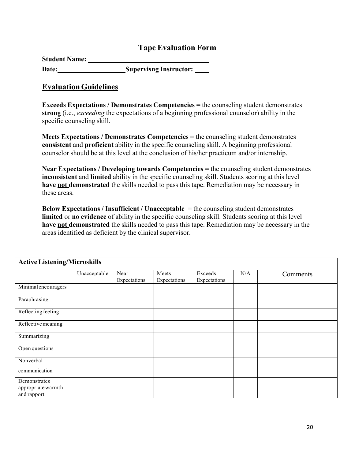# **Tape Evaluation Form**

| <b>Student Name:</b> |                               |
|----------------------|-------------------------------|
| Date:                | <b>Supervisng Instructor:</b> |

#### **EvaluationGuidelines**

**Exceeds Expectations / Demonstrates Competencies =** the counseling student demonstrates **strong** (i.e., *exceeding* the expectations of a beginning professional counselor) ability in the specific counseling skill.

**Meets Expectations / Demonstrates Competencies =** the counseling student demonstrates **consistent** and **proficient** ability in the specific counseling skill. A beginning professional counselor should be at this level at the conclusion of his/her practicum and/or internship.

**Near Expectations / Developing towards Competencies =** the counseling student demonstrates **inconsistent** and **limited** ability in the specific counseling skill. Students scoring at this level **have not demonstrated** the skills needed to pass this tape. Remediation may be necessary in these areas.

**Below Expectations / Insufficient / Unacceptable =** the counseling student demonstrates **limited** or **no evidence** of ability in the specific counseling skill. Students scoring at this level **have not demonstrated** the skills needed to pass this tape. Remediation may be necessary in the areas identified as deficient by the clinical supervisor.

| <b>Active Listening/Microskills</b>               |              |                      |                       |                         |     |          |
|---------------------------------------------------|--------------|----------------------|-----------------------|-------------------------|-----|----------|
|                                                   | Unacceptable | Near<br>Expectations | Meets<br>Expectations | Exceeds<br>Expectations | N/A | Comments |
| Minimal encouragers                               |              |                      |                       |                         |     |          |
| Paraphrasing                                      |              |                      |                       |                         |     |          |
| Reflecting feeling                                |              |                      |                       |                         |     |          |
| Reflective meaning                                |              |                      |                       |                         |     |          |
| Summarizing                                       |              |                      |                       |                         |     |          |
| Open questions                                    |              |                      |                       |                         |     |          |
| Nonverbal<br>communication                        |              |                      |                       |                         |     |          |
| Demonstrates<br>appropriate warmth<br>and rapport |              |                      |                       |                         |     |          |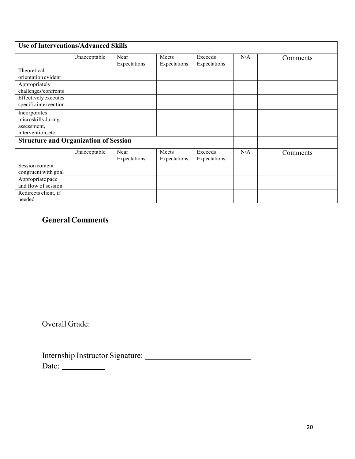| <b>Use of Interventions/Advanced Skills</b>                             |              |                      |                       |                         |     |          |
|-------------------------------------------------------------------------|--------------|----------------------|-----------------------|-------------------------|-----|----------|
|                                                                         | Unacceptable | Near<br>Expectations | Meets<br>Expectations | Exceeds<br>Expectations | N/A | Comments |
| Theoretical<br>orientation evident                                      |              |                      |                       |                         |     |          |
| Appropriately<br>challenges/confronts                                   |              |                      |                       |                         |     |          |
| Effectively executes<br>specific intervention                           |              |                      |                       |                         |     |          |
| Incorporates<br>microskills during<br>assessment,<br>intervention, etc. |              |                      |                       |                         |     |          |
| <b>Structure and Organization of Session</b>                            |              |                      |                       |                         |     |          |
|                                                                         | Unacceptable | Near<br>Expectations | Meets<br>Expectations | Exceeds<br>Expectations | N/A | Comments |
| Session content<br>congruent with goal                                  |              |                      |                       |                         |     |          |
| Appropriate pace<br>and flow of session                                 |              |                      |                       |                         |     |          |
| Redirects client, if<br>needed                                          |              |                      |                       |                         |     |          |

# **General Comments**

Overall Grade:

Internship Instructor Signature: Date: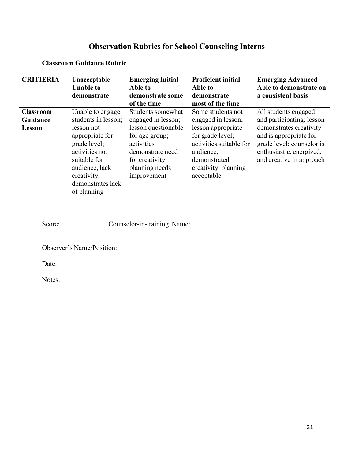# **Observation Rubrics for School Counseling Interns**

#### **Classroom Guidance Rubric**

| <b>CRITIERIA</b>                       | Unacceptable<br><b>Unable to</b><br>demonstrate                                                                                                                                                 | <b>Emerging Initial</b><br>Able to<br>demonstrate some<br>of the time                                                                                                  | <b>Proficient initial</b><br>Able to<br>demonstrate<br>most of the time                                                                                                         | <b>Emerging Advanced</b><br>Able to demonstrate on<br>a consistent basis                                                                                                                    |
|----------------------------------------|-------------------------------------------------------------------------------------------------------------------------------------------------------------------------------------------------|------------------------------------------------------------------------------------------------------------------------------------------------------------------------|---------------------------------------------------------------------------------------------------------------------------------------------------------------------------------|---------------------------------------------------------------------------------------------------------------------------------------------------------------------------------------------|
| <b>Classroom</b><br>Guidance<br>Lesson | Unable to engage<br>students in lesson;<br>lesson not<br>appropriate for<br>grade level;<br>activities not<br>suitable for<br>audience, lack<br>creativity;<br>demonstrates lack<br>of planning | Students somewhat<br>engaged in lesson;<br>lesson questionable<br>for age group;<br>activities<br>demonstrate need<br>for creativity;<br>planning needs<br>improvement | Some students not<br>engaged in lesson;<br>lesson appropriate<br>for grade level;<br>activities suitable for<br>audience,<br>demonstrated<br>creativity; planning<br>acceptable | All students engaged<br>and participating; lesson<br>demonstrates creativity<br>and is appropriate for<br>grade level; counselor is<br>enthusiastic, energized,<br>and creative in approach |

Score: Counselor-in-training Name:

Observer's Name/Position:

Date: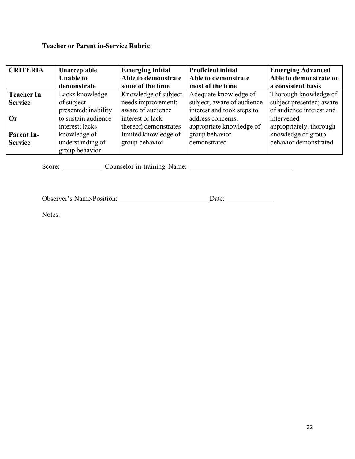# **Teacher or Parent in-Service Rubric**

| <b>CRITERIA</b>    | Unacceptable         | <b>Emerging Initial</b> | <b>Proficient initial</b>  | <b>Emerging Advanced</b> |
|--------------------|----------------------|-------------------------|----------------------------|--------------------------|
|                    | <b>Unable to</b>     | Able to demonstrate     | Able to demonstrate        | Able to demonstrate on   |
|                    | demonstrate          | some of the time        | most of the time           | a consistent basis       |
| <b>Teacher In-</b> | Lacks knowledge      | Knowledge of subject    | Adequate knowledge of      | Thorough knowledge of    |
| <b>Service</b>     | of subject           | needs improvement;      | subject; aware of audience | subject presented; aware |
|                    | presented; inability | aware of audience       | interest and took steps to | of audience interest and |
| Or                 | to sustain audience  | interest or lack        | address concerns;          | intervened               |
|                    | interest; lacks      | thereof; demonstrates   | appropriate knowledge of   | appropriately; thorough  |
| <b>Parent In-</b>  | knowledge of         | limited knowledge of    | group behavior             | knowledge of group       |
| <b>Service</b>     | understanding of     | group behavior          | demonstrated               | behavior demonstrated    |
|                    | group behavior       |                         |                            |                          |

Score: Counselor-in-training Name: Counselor-in-training Name:

Observer's Name/Position: Date: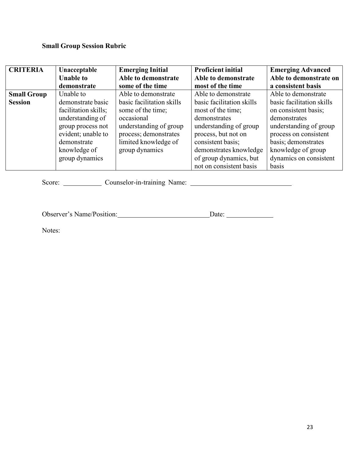### **Small Group Session Rubric**

| <b>CRITERIA</b>    | Unacceptable         | <b>Emerging Initial</b>   | <b>Proficient initial</b> | <b>Emerging Advanced</b>  |
|--------------------|----------------------|---------------------------|---------------------------|---------------------------|
|                    | <b>Unable to</b>     | Able to demonstrate       | Able to demonstrate       | Able to demonstrate on    |
|                    | demonstrate          | some of the time          | most of the time          | a consistent basis        |
| <b>Small Group</b> | Unable to            | Able to demonstrate       | Able to demonstrate       | Able to demonstrate       |
| <b>Session</b>     | demonstrate basic    | basic facilitation skills | basic facilitation skills | basic facilitation skills |
|                    | facilitation skills; | some of the time;         | most of the time;         | on consistent basis;      |
|                    | understanding of     | occasional                | demonstrates              | demonstrates              |
|                    | group process not    | understanding of group    | understanding of group    | understanding of group    |
|                    | evident; unable to   | process; demonstrates     | process, but not on       | process on consistent     |
|                    | demonstrate          | limited knowledge of      | consistent basis;         | basis; demonstrates       |
|                    | knowledge of         | group dynamics            | demonstrates knowledge    | knowledge of group        |
|                    | group dynamics       |                           | of group dynamics, but    | dynamics on consistent    |
|                    |                      |                           | not on consistent basis   | basis                     |

Score: Counselor-in-training Name: Counselor-in-training Name:

Observer's Name/Position: Date: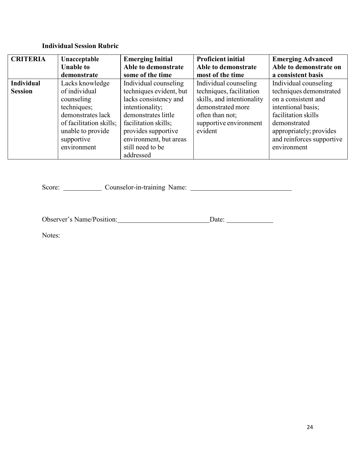# **Individual Session Rubric**

| <b>CRITERIA</b>   | Unacceptable            | <b>Emerging Initial</b> | <b>Proficient initial</b>  | <b>Emerging Advanced</b>  |
|-------------------|-------------------------|-------------------------|----------------------------|---------------------------|
|                   | <b>Unable to</b>        | Able to demonstrate     | Able to demonstrate        | Able to demonstrate on    |
|                   | demonstrate             | some of the time        | most of the time           | a consistent basis        |
| <b>Individual</b> | Lacks knowledge         | Individual counseling   | Individual counseling      | Individual counseling     |
| <b>Session</b>    | of individual           | techniques evident, but | techniques, facilitation   | techniques demonstrated   |
|                   | counseling              | lacks consistency and   | skills, and intentionality | on a consistent and       |
|                   | techniques;             | intentionality;         | demonstrated more          | intentional basis;        |
|                   | demonstrates lack       | demonstrates little     | often than not;            | facilitation skills       |
|                   | of facilitation skills; | facilitation skills;    | supportive environment     | demonstrated              |
|                   | unable to provide       | provides supportive     | evident                    | appropriately; provides   |
|                   | supportive              | environment, but areas  |                            | and reinforces supportive |
|                   | environment             | still need to be        |                            | environment               |
|                   |                         | addressed               |                            |                           |

Score: Counselor-in-training Name: Counselor-in-training Name:

Observer's Name/Position: Date: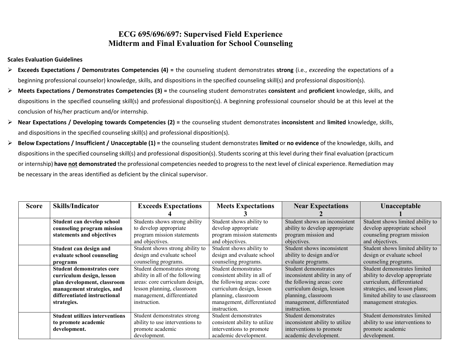# **ECG 695/696/697: Supervised Field Experience Midterm and Final Evaluation for School Counseling**

#### **Scales Evaluation Guidelines**

- **Exceeds Expectations / Demonstrates Competencies (4) =** the counseling student demonstrates **strong** (i.e., *exceeding* the expectations of a beginning professional counselor) knowledge, skills, and dispositions in the specified counseling skill(s) and professional disposition(s).
- **Meets Expectations / Demonstrates Competencies (3) =** the counseling student demonstrates **consistent** and **proficient** knowledge, skills, and dispositions in the specified counseling skill(s) and professional disposition(s). A beginning professional counselor should be at this level at the conclusion of his/her practicum and/or internship.
- **Near Expectations / Developing towards Competencies (2) =** the counseling student demonstrates **inconsistent** and **limited** knowledge, skills, and dispositions in the specified counseling skill(s) and professional disposition(s).
- **Below Expectations / Insufficient / Unacceptable (1) =** the counseling student demonstrates **limited** or **no evidence** of the knowledge, skills, and dispositions in the specified counseling skill(s) and professional disposition(s). Students scoring at this level during their final evaluation (practicum or internship) **have not demonstrated** the professional competencies needed to progress to the next level of clinical experience. Remediation may be necessary in the areas identified as deficient by the clinical supervisor.

| <b>Score</b> | <b>Skills/Indicator</b>               | <b>Exceeds Expectations</b>     | <b>Meets Expectations</b>     | <b>Near Expectations</b>        | Unacceptable                     |
|--------------|---------------------------------------|---------------------------------|-------------------------------|---------------------------------|----------------------------------|
|              |                                       |                                 |                               |                                 |                                  |
|              | Student can develop school            | Students shows strong ability   | Student shows ability to      | Student shows an inconsistent   | Student shows limited ability to |
|              | counseling program mission            | to develop appropriate          | develop appropriate           | ability to develop appropriate  | develop appropriate school       |
|              | statements and objectives             | program mission statements      | program mission statements    | program mission and             | counseling program mission       |
|              |                                       | and objectives.                 | and objectives.               | objectives.                     | and objectives.                  |
|              | Student can design and                | Student shows strong ability to | Student shows ability to      | Student shows inconsistent      | Student shows limited ability to |
|              | evaluate school counseling            | design and evaluate school      | design and evaluate school    | ability to design and/or        | design or evaluate school        |
|              | programs                              | counseling programs.            | counseling programs.          | evaluate programs.              | counseling programs.             |
|              | <b>Student demonstrates core</b>      | Student demonstrates strong     | Student demonstrates          | Student demonstrates            | Student demonstrates limited     |
|              | curriculum design, lesson             | ability in all of the following | consistent ability in all of  | inconsistent ability in any of  | ability to develop appropriate   |
|              | plan development, classroom           | areas: core curriculum design,  | the following areas: core     | the following areas: core       | curriculum, differentiated       |
|              | management strategies, and            | lesson planning, classroom      | curriculum design, lesson     | curriculum design, lesson       | strategies, and lesson plans;    |
|              | differentiated instructional          | management, differentiated      | planning, classroom           | planning, classroom             | limited ability to use classroom |
|              | strategies.                           | instruction.                    | management, differentiated    | management, differentiated      | management strategies.           |
|              |                                       |                                 | instruction.                  | instruction.                    |                                  |
|              | <b>Student utilizes interventions</b> | Student demonstrates strong     | Student demonstrates          | Student demonstrates            | Student demonstrates limited     |
|              | to promote academic                   | ability to use interventions to | consistent ability to utilize | inconsistent ability to utilize | ability to use interventions to  |
|              | development.                          | promote academic                | interventions to promote      | interventions to promote        | promote academic                 |
|              |                                       | development.                    | academic development.         | academic development.           | development.                     |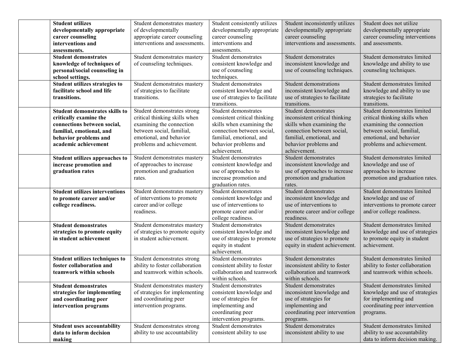| <b>Student utilizes</b><br>developmentally appropriate<br>career counseling<br>interventions and<br>assessments.                                                            | Student demonstrates mastery<br>of developmentally<br>appropriate career counseling<br>interventions and assessments.                                                         | Student consistently utilizes<br>developmentally appropriate<br>career counseling<br>interventions and<br>assessments.                                                               | Student inconsistently utilizes<br>developmentally appropriate<br>career counseling<br>interventions and assessments.                                                                  | Student does not utilize<br>developmentally appropriate<br>career counseling interventions<br>and assessments.                                                                 |
|-----------------------------------------------------------------------------------------------------------------------------------------------------------------------------|-------------------------------------------------------------------------------------------------------------------------------------------------------------------------------|--------------------------------------------------------------------------------------------------------------------------------------------------------------------------------------|----------------------------------------------------------------------------------------------------------------------------------------------------------------------------------------|--------------------------------------------------------------------------------------------------------------------------------------------------------------------------------|
| <b>Student demonstrates</b><br>knowledge of techniques of<br>personal/social counseling in<br>school settings.                                                              | Student demonstrates mastery<br>of counseling techniques.                                                                                                                     | Student demonstrates<br>consistent knowledge and<br>use of counseling<br>techniques.                                                                                                 | Student demonstrates<br>inconsistent knowledge and<br>use of counseling techniques.                                                                                                    | Student demonstrates limited<br>knowledge and ability to use<br>counseling techniques.                                                                                         |
| Student utilizes strategies to<br>facilitate school and life<br>transitions.                                                                                                | Student demonstrates mastery<br>of strategies to facilitate<br>transitions.                                                                                                   | Student demonstrates<br>consistent knowledge and<br>use of strategies to facilitate<br>transitions.                                                                                  | Student demonstrations<br>inconsistent knowledge and<br>use of strategies to facilitate<br>transitions.                                                                                | Student demonstrates limited<br>knowledge and ability to use<br>strategies to facilitate<br>transitions.                                                                       |
| <b>Student demonstrates skills to</b><br>critically examine the<br>connections between social,<br>familial, emotional, and<br>behavior problems and<br>academic achievement | Student demonstrates strong<br>critical thinking skills when<br>examining the connection<br>between social, familial,<br>emotional, and behavior<br>problems and achievement. | Student demonstrates<br>consistent critical thinking<br>skills when examining the<br>connection between social,<br>familial, emotional, and<br>behavior problems and<br>achievement. | Student demonstrates<br>inconsistent critical thinking<br>skills when examining the<br>connection between social,<br>familial, emotional, and<br>behavior problems and<br>achievement. | Student demonstrates limited<br>critical thinking skills when<br>examining the connection<br>between social, familial,<br>emotional, and behavior<br>problems and achievement. |
| Student utilizes approaches to<br>increase promotion and<br>graduation rates                                                                                                | Student demonstrates mastery<br>of approaches to increase<br>promotion and graduation<br>rates.                                                                               | Student demonstrates<br>consistent knowledge and<br>use of approaches to<br>increase promotion and<br>graduation rates.                                                              | Student demonstrates<br>inconsistent knowledge and<br>use of approaches to increase<br>promotion and graduation<br>rates.                                                              | Student demonstrates limited<br>knowledge and use of<br>approaches to increase<br>promotion and graduation rates.                                                              |
| <b>Student utilizes interventions</b><br>to promote career and/or<br>college readiness.                                                                                     | Student demonstrates mastery<br>of interventions to promote<br>career and/or college<br>readiness.                                                                            | Student demonstrates<br>consistent knowledge and<br>use of interventions to<br>promote career and/or<br>college readiness.                                                           | Student demonstrates<br>inconsistent knowledge and<br>use of interventions to<br>promote career and/or college<br>readiness.                                                           | Student demonstrates limited<br>knowledge and use of<br>interventions to promote career<br>and/or college readiness.                                                           |
| <b>Student demonstrates</b><br>strategies to promote equity<br>in student achievement                                                                                       | Student demonstrates mastery<br>of strategies to promote equity<br>in student achievement.                                                                                    | Student demonstrates<br>consistent knowledge and<br>use of strategies to promote<br>equity in student<br>achievement.                                                                | Student demonstrates<br>inconsistent knowledge and<br>use of strategies to promote<br>equity in student achievement.                                                                   | Student demonstrates limited<br>knowledge and use of strategies<br>to promote equity in student<br>achievement.                                                                |
| Student utilizes techniques to<br>foster collaboration and<br>teamwork within schools                                                                                       | Student demonstrates strong<br>ability to foster collaboration<br>and teamwork within schools.                                                                                | Student demonstrates<br>consistent ability to foster<br>collaboration and teamwork<br>within schools.                                                                                | Student demonstrates<br>inconsistent ability to foster<br>collaboration and teamwork<br>within schools.                                                                                | Student demonstrates limited<br>ability to foster collaboration<br>and teamwork within schools.                                                                                |
| <b>Student demonstrates</b><br>strategies for implementing<br>and coordinating peer<br>intervention programs                                                                | Student demonstrates mastery<br>of strategies for implementing<br>and coordinating peer<br>intervention programs.                                                             | Student demonstrates<br>consistent knowledge and<br>use of strategies for<br>implementing and<br>coordinating peer<br>intervention programs.                                         | Student demonstrates<br>inconsistent knowledge and<br>use of strategies for<br>implementing and<br>coordinating peer intervention<br>programs.                                         | Student demonstrates limited<br>knowledge and use of strategies<br>for implementing and<br>coordinating peer intervention<br>programs.                                         |
| <b>Student uses accountability</b><br>data to inform decision<br>making                                                                                                     | Student demonstrates strong<br>ability to use accountability                                                                                                                  | Student demonstrates<br>consistent ability to use                                                                                                                                    | Student demonstrates<br>inconsistent ability to use                                                                                                                                    | Student demonstrates limited<br>ability to use accountability<br>data to inform decision making.                                                                               |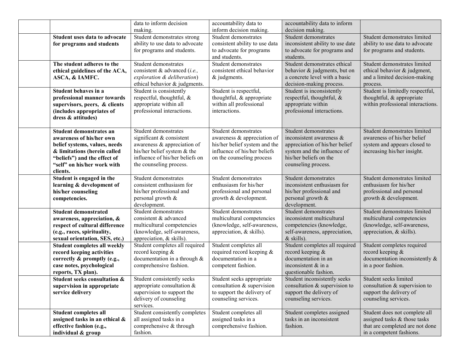|                                                               | data to inform decision                                   | accountability data to                                  | accountability data to inform                             |                                                         |
|---------------------------------------------------------------|-----------------------------------------------------------|---------------------------------------------------------|-----------------------------------------------------------|---------------------------------------------------------|
|                                                               | making.                                                   | inform decision making.                                 | decision making.                                          |                                                         |
| Student uses data to advocate                                 | Student demonstrates strong                               | Student demonstrates                                    | Student demonstrates                                      | Student demonstrates limited                            |
| for programs and students                                     | ability to use data to advocate                           | consistent ability to use data                          | inconsistent ability to use date                          | ability to use data to advocate                         |
|                                                               | for programs and students.                                | to advocate for programs                                | to advocate for programs and                              | for programs and students.                              |
|                                                               |                                                           | and students.                                           | students.                                                 |                                                         |
| The student adheres to the                                    | Student demonstrates                                      | Student demonstrates                                    | Student demonstrates ethical                              | Student demonstrates limited                            |
| ethical guidelines of the ACA,                                | consistent & advanced ( <i>i.e.</i> ,                     | consistent ethical behavior                             | behavior & judgments, but on                              | ethical behavior & judgment,                            |
| ASCA, & IAMFC.                                                | exploration & deliberation)                               | & judgments.                                            | a concrete level with a basic                             | and a limited decision-making                           |
|                                                               | ethical behavior & judgments.                             |                                                         | decision-making process.                                  | process.                                                |
| Student behaves in a                                          | Student is consistently                                   | Student is respectful,                                  | Student is inconsistently                                 | Student is limitedly respectful,                        |
| professional manner towards                                   | respectful, thoughtful, &                                 | thoughtful, & appropriate                               | respectful, thoughtful, &                                 | thoughtful, & appropriate                               |
| supervisors, peers, & clients                                 | appropriate within all                                    | within all professional<br>interactions.                | appropriate within                                        | within professional interactions.                       |
| (includes appropriates of                                     | professional interactions.                                |                                                         | professional interactions.                                |                                                         |
| dress & attitudes)                                            |                                                           |                                                         |                                                           |                                                         |
| Student demonstrates an                                       | Student demonstrates                                      | Student demonstrates                                    | Student demonstrates                                      | Student demonstrates limited                            |
| awareness of his/her own                                      | significant & consistent                                  | awareness & appreciation of                             | inconsistent awareness &                                  | awareness of his/her belief                             |
| belief systems, values, needs                                 | awareness & appreciation of                               | his/her belief system and the                           | appreciation of his/her belief                            | system and appears closed to                            |
| & limitations (herein called                                  | his/her belief system & the                               | influence of his/her beliefs                            | system and the influence of                               | increasing his/her insight.                             |
| "beliefs") and the effect of                                  | influence of his/her beliefs on                           | on the counseling process                               | his/her beliefs on the                                    |                                                         |
| "self" on his/her work with                                   | the counseling process.                                   |                                                         | counseling process.                                       |                                                         |
| clients.                                                      |                                                           |                                                         |                                                           |                                                         |
| Student is engaged in the                                     | Student demonstrates                                      | Student demonstrates                                    | Student demonstrates                                      | Student demonstrates limited                            |
| learning & development of                                     | consistent enthusiasm for                                 | enthusiasm for his/her                                  | inconsistent enthusiasm for                               | enthusiasm for his/her                                  |
| his/her counseling                                            | his/her professional and                                  | professional and personal                               | his/her professional and                                  | professional and personal                               |
| competencies.                                                 | personal growth &                                         | growth & development.                                   | personal growth &                                         | growth & development.                                   |
|                                                               | development.                                              |                                                         | development.                                              |                                                         |
| <b>Student demonstrated</b>                                   | Student demonstrates                                      | Student demonstrates                                    | Student demonstrates                                      | Student demonstrates limited                            |
| awareness, appreciation, &                                    | consistent & advanced                                     | multicultural competencies                              | inconsistent multicultural                                | multicultural competencies                              |
| respect of cultural difference                                | multicultural competencies<br>(knowledge, self-awareness, | (knowledge, self-awareness,<br>appreciation, & skills). | competencies (knowledge,<br>self-awareness, appreciation, | (knowledge, self-awareness,<br>appreciation, & skills). |
| (e.g., races, spirituality,<br>sexual orientation, SES, etc.) | appreciation, & skills).                                  |                                                         | & skills).                                                |                                                         |
| Student completes all weekly                                  | Student completes all required                            | Student completes all                                   | Student completes all required                            | Student completes required                              |
| record keeping activities                                     | record keeping &                                          | required record keeping &                               | record keeping &                                          | record keeping &                                        |
| correctly & promptly (e.g.,                                   | documentation in a through &                              | documentation in a                                      | documentation in an                                       | documentation inconsistently &                          |
| case notes, psychological                                     | comprehensive fashion.                                    | competent fashion.                                      | inconsistent & in a                                       | in a poor fashion.                                      |
| reports, TX plan).                                            |                                                           |                                                         | questionable fashion.                                     |                                                         |
| <b>Student seeks consultation &amp;</b>                       | Student consistently seeks                                | Student seeks appropriate                               | Student inconsistently seeks                              | Student seeks limited                                   |
| supervision in appropriate                                    | appropriate consultation $&$                              | consultation & supervision                              | consultation & supervision to                             | consultation & supervision to                           |
| service delivery                                              | supervision to support the                                | to support the delivery of                              | support the delivery of                                   | support the delivery of                                 |
|                                                               | delivery of counseling                                    | counseling services.                                    | counseling services.                                      | counseling services.                                    |
|                                                               | services.                                                 |                                                         |                                                           |                                                         |
| <b>Student completes all</b>                                  | Student consistently completes                            | Student completes all                                   | Student completes assigned                                | Student does not complete all                           |
| assigned tasks in an ethical &                                | all assigned tasks in a                                   | assigned tasks in a                                     | tasks in an inconsistent                                  | assigned tasks & those tasks                            |
| effective fashion (e.g.,                                      | comprehensive & through                                   | comprehensive fashion.                                  | fashion.                                                  | that are completed are not done                         |
| individual & group                                            | fashion.                                                  |                                                         |                                                           | in a competent fashions.                                |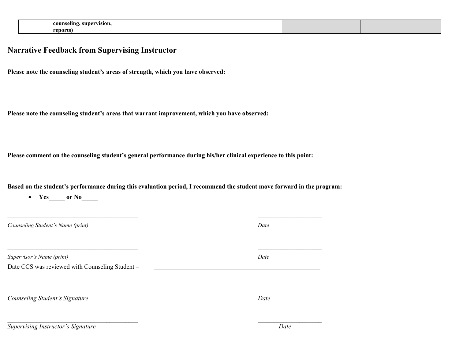| supervision.<br>counseling.<br>$\overline{\phantom{a}}$ |  |  |
|---------------------------------------------------------|--|--|
| reports,                                                |  |  |

#### **Narrative Feedback from Supervising Instructor**

• **Yes\_\_\_\_\_** or No\_\_\_\_\_\_

**Please note the counseling student's areas of strength, which you have observed:**

**Please note the counseling student's areas that warrant improvement, which you have observed:**

**Please comment on the counseling student's general performance during his/her clinical experience to this point:**

**Based on the student's performance during this evaluation period, I recommend the student move forward in the program:** 

| Counseling Student's Name (print)               | Date |
|-------------------------------------------------|------|
| Supervisor's Name (print)                       | Date |
| Date CCS was reviewed with Counseling Student - |      |
| Counseling Student's Signature                  | Date |
| <b>Supervising Instructor's Signature</b>       | Date |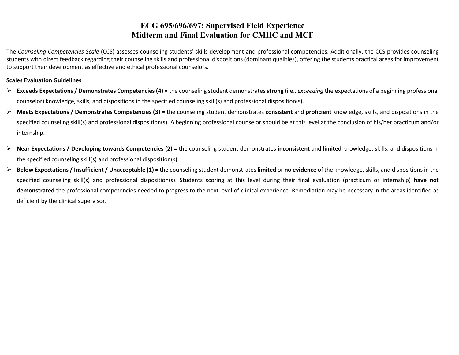# **ECG 695/696/697: Supervised Field Experience Midterm and Final Evaluation for CMHC and MCF**

The *Counseling Competencies Scale* (CCS) assesses counseling students' skills development and professional competencies. Additionally, the CCS provides counseling students with direct feedback regarding their counseling skills and professional dispositions (dominant qualities), offering the students practical areas for improvement to support their development as effective and ethical professional counselors.

#### **Scales Evaluation Guidelines**

- **Exceeds Expectations / Demonstrates Competencies (4) =** the counseling student demonstrates **strong** (i.e., *exceeding* the expectations of a beginning professional counselor) knowledge, skills, and dispositions in the specified counseling skill(s) and professional disposition(s).
- **Meets Expectations / Demonstrates Competencies (3) =** the counseling student demonstrates **consistent** and **proficient** knowledge, skills, and dispositions in the specified counseling skill(s) and professional disposition(s). A beginning professional counselor should be at this level at the conclusion of his/her practicum and/or internship.
- **Near Expectations / Developing towards Competencies (2) =** the counseling student demonstrates **inconsistent** and **limited** knowledge, skills, and dispositions in the specified counseling skill(s) and professional disposition(s).
- **Below Expectations / Insufficient / Unacceptable (1) =** the counseling student demonstrates **limited** or **no evidence** of the knowledge, skills, and dispositions in the specified counseling skill(s) and professional disposition(s). Students scoring at this level during their final evaluation (practicum or internship) **have not demonstrated** the professional competencies needed to progress to the next level of clinical experience. Remediation may be necessary in the areas identified as deficient by the clinical supervisor.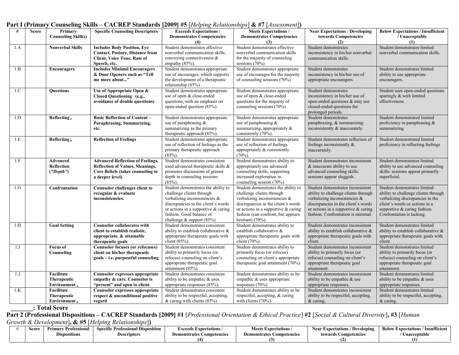| #   | <b>Score</b> | Primary                       | <b>Specific Counseling Descriptors</b>                                       | <b>Exceeds Expectations /</b>                                     | Meets Expectations /                                             | <b>Near Expectations / Developing</b>                               | <b>Below Expectations / Insufficient</b>                       |
|-----|--------------|-------------------------------|------------------------------------------------------------------------------|-------------------------------------------------------------------|------------------------------------------------------------------|---------------------------------------------------------------------|----------------------------------------------------------------|
|     |              | <b>Counseling Skill(s)</b>    |                                                                              | <b>Demonstrates Competencies</b>                                  | <b>Demonstrates Competencies</b>                                 | towards Competencies                                                | / Unacceptable                                                 |
|     |              |                               |                                                                              | (4)                                                               | (3)                                                              | (2)                                                                 | (1)                                                            |
| 1.A |              | <b>Nonverbal Skills</b>       | <b>Includes Body Position, Eye</b>                                           | Student demonstrates effective                                    | Student demonstrates effective                                   | Student demonstrates                                                | Student demonstrates limited                                   |
|     |              |                               | <b>Contact, Posture, Distance from</b><br><b>Client, Voice Tone, Rate of</b> | nonverbal communication skills,<br>conveying connectiveness &     | nonverbal communication skills<br>for the majority of counseling | inconsistency in his/her nonverbal<br>communication skills.         | nonverbal communication skills.                                |
|     |              |                               | Speech, etc.                                                                 | empathy (85%).                                                    | sessions (70%)                                                   |                                                                     |                                                                |
| 1.B |              | <b>Encouragers</b>            | <b>Includes Minimal Encouragers</b>                                          | Student demonstrates appropriate                                  | Student demonstrates appropriate                                 | Student demonstrates                                                | Student demonstrates limited                                   |
|     |              |                               | & Door Openers such as "Tell                                                 | use of encourages, which supports                                 | use of encourages for the majority                               | inconsistency in his/her use of                                     | ability to use appropriate                                     |
|     |              |                               | me more about"                                                               | the development of a therapeutic                                  | of counseling sessions (70%)                                     | appropriate encouragers.                                            | encouragers.                                                   |
|     |              |                               |                                                                              | relationship (85%).                                               |                                                                  |                                                                     |                                                                |
| 1.C |              | <b>Ouestions</b>              | Use of Appropriate Open &                                                    | Student demonstrates appropriate                                  | Student demonstrates appropriate                                 | Student demonstrates                                                | Student uses open-ended questions                              |
|     |              |                               | Closed Questioning (e.g.,                                                    | use of open & close-ended                                         | use of open & close-ended                                        | inconsistency in his/her use of                                     | sparingly & with limited                                       |
|     |              |                               | avoidance of double questions)                                               | questions, with an emphasis on                                    | questions for the majority of                                    | open-ended questions & may use                                      | effectiveness.                                                 |
|     |              |                               |                                                                              | open-ended question (85%).                                        | counseling sessions (70%).                                       | closed-ended questions for<br>prolonged periods.                    |                                                                |
| 1.D |              | Reflecting,                   | <b>Basic Reflection of Content -</b>                                         | Student demonstrates appropriate                                  | Student demonstrates appropriate                                 | Student demonstrates                                                | Student demonstrated limited                                   |
|     |              |                               | Paraphrasing, Summarizing,                                                   | use of paraphrasing $\&$                                          | use of paraphrasing &                                            | paraphrasing, & summarizing                                         | proficiency in paraphrasing &                                  |
|     |              |                               | etc.                                                                         | summarizing as the primary                                        | summarizing, appropriately &                                     | inconsistently & inaccurately.                                      | summarizing                                                    |
|     |              |                               |                                                                              | therapeutic approach (85%).                                       | consistently (70%).                                              |                                                                     |                                                                |
| 1.E |              | Reflecting <sub>b</sub>       | <b>Reflection of Feelings</b>                                                | Student demonstrates appropriate                                  | Student demonstrates appropriate                                 | Student demonstrates reflection of                                  | Student demonstrated limited                                   |
|     |              |                               |                                                                              | use of reflection of feelings as the                              | use of reflection of feelings                                    | feelings inconsistently &                                           | proficiency in reflecting feelings                             |
|     |              |                               |                                                                              | primary therapeutic approach                                      | appropriately & consistently                                     | inaccurately.                                                       |                                                                |
|     |              |                               |                                                                              | $(85%)$ .                                                         | (70%)                                                            |                                                                     |                                                                |
| 1.F |              | Advanced                      | <b>Advanced Reflection of Feelings,</b>                                      | Student demonstrates consistent                                   | Student demonstrates ability to                                  | Student demonstrates inconsistent                                   | Student demonstrates limited                                   |
|     |              | Reflection                    | <b>Reflection of Values, Meanings,</b>                                       | used advanced therapeutic skills &                                | appropriately use advanced                                       | & inaccurate ability to use                                         | ability to use advanced counseling                             |
|     |              | ("Depth")                     | Core Beliefs (takes counseling to<br>a deeper level)                         | promotes discussions of greater<br>depth in counseling sessions   | counseling skills, supporting<br>increased exploration in        | advanced counseling skills:<br>sessions appear sluggish.            | skills: sessions appear primarily<br>superficial.              |
|     |              |                               |                                                                              | $(85\%)$ .                                                        | counseling session (70%).                                        |                                                                     |                                                                |
| 1.G |              | Confrontation                 | Counselor challenges client to                                               | Student demonstrates the ability to                               | Student demonstrates the ability to                              | Student demonstrates inconsistent                                   | Student demonstrates limited                                   |
|     |              |                               | recognize & evaluate                                                         | challenge clients through                                         | challenge clients through                                        | ability to challenge clients through                                | ability to challenge clients through                           |
|     |              |                               | inconsistencies.                                                             | verbalizing inconsistencies &                                     | verbalizing inconsistencies &                                    | verbalizing inconsistencies &                                       | verbalizing discrepancies in the                               |
|     |              |                               |                                                                              | discrepancies in the client's words                               | discrepancies in the client's words                              | discrepancies in the client's words                                 | client's words or actions in a                                 |
|     |              |                               |                                                                              | or actions in a supportive & caring                               | or actions in a supportive & caring                              | or actions in a supportive & caring                                 | supportive & caring fashion.                                   |
|     |              |                               |                                                                              | fashion. Good balance of                                          | fashion (can confront, but appears                               | fashion. Confrontation is minimal.                                  | Confrontation is lacking.                                      |
|     |              |                               |                                                                              | challenge & support $(85%)$ .                                     | hesitant) $(70\%)$ .                                             |                                                                     |                                                                |
| 1.H |              | <b>Goal Setting</b>           | <b>Counselor collaborates with</b>                                           | Student demonstrates consistent                                   | Student demonstrates ability to                                  | Student demonstrates inconsistent                                   | Student demonstrates limited                                   |
|     |              |                               | client to establish realistic,                                               | ability to establish collaborative &                              | establish collaborative &                                        | ability to establish collaborative &                                | ability to establish collaborative &                           |
|     |              |                               | appropriate, & attainable                                                    | appropriate therapeutic goals with                                | appropriate therapeutic goals with                               | appropriate therapeutic goals with                                  | appropriate therapeutic goals with                             |
|     |              |                               | therapeutic goals                                                            | client (85%).                                                     | client (70%).                                                    | client.                                                             | client.                                                        |
| 1.I |              | <b>Focus of</b><br>Counseling | <b>Counselor focuses (or refocuses)</b><br>client on his/her therapeutic     | Student demonstrates consistent<br>ability to primarily focus (or | Student demonstrates ability to<br>primarily focus (or refocus)  | Student demonstrates inconsistent<br>ability to primarily focus (or | Student demonstrates limited<br>ability to primarily focus (or |
|     |              |                               |                                                                              | refocus) counseling on client's                                   | counseling on client's appropriate                               | refocus) counseling on client's                                     | refocus) counseling on client's                                |
|     |              |                               | goals – i.e. purposeful counseling                                           | appropriate therapeutic goal                                      | therapeutic goal attainment (70%).                               | appropriate therapeutic goal                                        | appropriate therapeutic goal                                   |
|     |              |                               |                                                                              | attainment (85%).                                                 |                                                                  | attainment.                                                         | attainment.                                                    |
| 1.J |              | Facilitate                    | <b>Counselor expresses appropriate</b>                                       | Student demonstrates consistent                                   | Student demonstrates ability to be                               | Student demonstrates inconsistent                                   | Student demonstrates limited                                   |
|     |              | <b>Therapeutic</b>            | empathy & care. Counselor is                                                 | ability to be empathic & uses                                     | empathic & uses appropriate                                      | ability to be empathic & use                                        | ability to be empathic & uses                                  |
|     |              | Environment,                  | "present" and open to client.                                                | appropriate responses (85%).                                      | responses (70%).                                                 | appropriate responses.                                              | appropriate responses.                                         |
| 1.K |              | Facilitate                    | Counselor expresses appropriate                                              | Student demonstrates consistent                                   | Student demonstrates ability to be                               | Student demonstrates inconsistent                                   | Student demonstrates limited                                   |
|     |              | <b>Therapeutic</b>            | respect & unconditional positive                                             | ability to be respectful, accepting,                              | respectful, accepting, & caring                                  | ability to be respectful, accepting,                                | ability to be respectful, accepting,                           |
|     |              | $E$ nvironment                | regard                                                                       | & caring with clients (85%).                                      | with clients $(70%)$ .                                           | & caring.                                                           | $&$ caring.                                                    |

#### **Part I (Primary Counseling Skills – CACREP Standards [2009] #5** [*Helping Relationships*] **& #7** [*Assessment*]**)**

 **\_\_\_\_\_\_\_: Total Score** 

**Part 2 (Professional Dispositions – CACREP Standards [2009] #1** [*Professional Orientation & Ethical Practice*] **#2** [*Social & Cultural Diversity*]**, #3** [*Human* 

*Growth & Development*]**, & #5** [*Helping Relationships*]**)**

| Score | Professional<br>ʻrimarv<br><b>Dispositions</b> | ' Disposition<br><b>Specific Professional Dist.</b><br>Descriptors | Exceeds Expectations<br>Demon<br>Competencies<br>rotos ( *<br>-чы ан | <b>Meets Expectations/</b><br><b>Demonstrates</b><br>s Competencies | / Developing<br><b>Near Expectations</b><br>towards<br><b>competencies</b> | <b>Insufficient</b><br><b>Below Expectations</b><br>'Unacceptable |
|-------|------------------------------------------------|--------------------------------------------------------------------|----------------------------------------------------------------------|---------------------------------------------------------------------|----------------------------------------------------------------------------|-------------------------------------------------------------------|
|       |                                                |                                                                    |                                                                      | . . I                                                               |                                                                            |                                                                   |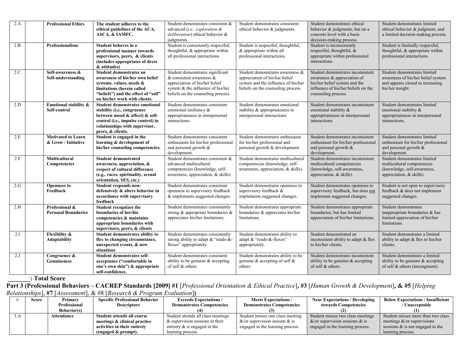| 2.A | <b>Professional Ethics</b>                       | The student adheres to the<br>ethical guidelines of the ACA,<br>ASCA, & IAMFC.                                                                                                               | Student demonstrates consistent &<br>advanced (i.e., exploration $\&$<br>deliberation) ethical behavior &<br>judgments.                                                       | Student demonstrates consistent<br>ethical behavior & judgments.                                                                               | Student demonstrates ethical<br>behavior & judgments, but on a<br>concrete level with a basic<br>decision-making process.                                       | Student demonstrates limited<br>ethical behavior & judgment, and<br>a limited decision-making process.                     |
|-----|--------------------------------------------------|----------------------------------------------------------------------------------------------------------------------------------------------------------------------------------------------|-------------------------------------------------------------------------------------------------------------------------------------------------------------------------------|------------------------------------------------------------------------------------------------------------------------------------------------|-----------------------------------------------------------------------------------------------------------------------------------------------------------------|----------------------------------------------------------------------------------------------------------------------------|
| 2.B | <b>Professionalism</b>                           | Student behaves in a<br>professional manner towards<br>supervisors, peers, & clients<br>(includes appropriates of dress<br>& attitudes)                                                      | Student is consistently respectful,<br>thoughtful, & appropriate within<br>all professional interactions.                                                                     | Student is respectful, thoughtful,<br>& appropriate within all<br>professional interactions.                                                   | Student is inconsistently<br>respectful, thoughtful, &<br>appropriate within professional<br>interactions.                                                      | Student is limitedly respectful,<br>thoughtful, & appropriate within<br>professional interactions.                         |
| 2.C | Self-awareness &<br>Self-understanding           | Student demonstrates an<br>awareness of his/her own belief<br>systems, values, needs &<br>limitations (herein called<br>"beliefs") and the effect of "self"<br>on his/her work with clients. | Student demonstrates significant<br>$&$ consistent awareness $&$<br>appreciation of his/her belief<br>system & the influence of his/her<br>beliefs on the counseling process. | Student demonstrates awareness &<br>appreciation of his/her belief<br>system and the influence of his/her<br>beliefs on the counseling process | Student demonstrates inconsistent<br>awareness & appreciation of<br>his/her belief system and the<br>influence of his/her beliefs on the<br>counseling process. | Student demonstrates limited<br>awareness of his/her belief system<br>and appears closed to increasing<br>his/her insight. |
| 2.D | Emotional stability &<br>Self-control            | Student demonstrates emotional<br>stability (i.e., congruence<br>between mood & affect) & self-<br>control (i.e., impulse control) in<br>relationships with supervisor,<br>peers, & clients. | Student demonstrates consistent<br>emotional resiliency &<br>appropriateness in interpersonal<br>interactions.                                                                | Student demonstrates emotional<br>stability & appropriateness in<br>interpersonal interactions.                                                | Student demonstrates inconsistent<br>emotional stability &<br>appropriateness in interpersonal<br>interactions.                                                 | Student demonstrates limited<br>emotional stability &<br>appropriateness in interpersonal<br>interactions.                 |
| 2.E | <b>Motivated to Learn</b><br>& Grow / Initiative | Student is engaged in the<br>learning & development of<br>his/her counseling competencies.                                                                                                   | Student demonstrates consistent<br>enthusiasm for his/her professional<br>and personal growth &<br>development.                                                               | Student demonstrates enthusiasm<br>for his/her professional and<br>personal growth & development.                                              | Student demonstrates inconsistent<br>enthusiasm for his/her professional<br>and personal growth &<br>development.                                               | Student demonstrates limited<br>enthusiasm for his/her professional<br>and personal growth &<br>development.               |
| 2.F | Multicultural<br>Competencies                    | <b>Student demonstrated</b><br>awareness, appreciation, &<br>respect of cultural difference<br>(e.g., races, spirituality, sexual<br>orientation, SES, etc.)                                 | Student demonstrates consistent &<br>advanced multicultural<br>competencies (knowledge, self-<br>awareness, appreciation, & skills).                                          | Student demonstrates multicultural<br>competencies (knowledge, self-<br>awareness, appreciation, & skills).                                    | Student demonstrates inconsistent<br>multicultural competencies<br>(knowledge, self-awareness,<br>appreciation, & skills).                                      | Student demonstrates limited<br>multicultural competencies<br>(knowledge, self-awareness,<br>appreciation, & skills).      |
| 2.G | <b>Openness to</b><br>Feedback                   | Student responds non-<br>defensively & alters behavior in<br>accordance with supervisory<br>feedback                                                                                         | Student demonstrates consistent<br>openness to supervisory feedback<br>& implements suggested changes.                                                                        | Student demonstrates openness to<br>supervisory feedback &<br>implements suggested changes.                                                    | Student demonstrates openness to<br>supervisory feedback, but does not<br>implement suggested changes.                                                          | Student is not open to supervisory<br>feedback & does not implement<br>suggested changes.                                  |
| 2.H | Professional &<br><b>Personal Boundaries</b>     | Student recognizes the<br>boundaries of her/his<br>competencies & maintains<br>appropriate boundaries with<br>supervisors, peers, & clients                                                  | Student demonstrates consistently<br>strong & appropriate boundaries $\&$<br>appreciates his/her limitations.                                                                 | Student demonstrates appropriate<br>boundaries & appreciates his/her<br>limitations.                                                           | Student demonstrates appropriate<br>boundaries, but has limited<br>appreciation of his/her limitations.                                                         | Student demonstrates<br>inappropriate boundaries & has<br>limited appreciation of his/her<br>limitations.                  |
| 2.I | <b>Flexibility &amp;</b><br><b>Adaptability</b>  | <b>Student demonstrates ability to</b><br>flex to changing circumstance,<br>unexpected events, & new<br>situations                                                                           | Student demonstrates consistently<br>strong ability to adapt & "reads-&-<br>flexes" appropriately.                                                                            | Student demonstrates ability to<br>adapt & "reads-&-flexes"<br>appropriately.                                                                  | Student demonstrated an<br>inconsistent ability to adapt & flex<br>to his/her clients.                                                                          | Student demonstrates a limited<br>ability to adapt & flex to his/her<br>clients.                                           |
| 2.J | Congruence &<br><b>Genuineness</b>               | Student demonstrates self-<br>acceptance ("comfortable in<br>one's own skin") & appropriate<br>self-confidence.                                                                              | Student demonstrates consistent<br>ability to be genuine & accepting<br>of self & others                                                                                      | Student demonstrates ability to be<br>genuine & accepting of self $\&$<br>others                                                               | Student demonstrates inconsistent<br>ability to be genuine & accepting<br>of self & others.                                                                     | Student demonstrates a limited<br>ability to be genuine & accepting<br>of self $&$ others (incongruent).                   |

**\_\_\_\_\_\_\_: Total Score** 

**Part 3 (Professional Behaviors – CACREP Standards [2009] #1** [*Professional Orientation & Ethical Practice*]**, #3** [*Human Growth & Development*]**, & #5** [*Helping Relationships*], **#7** [*Assessment*], & #8 [*Research & Program Evaluation*]**)**

|     | Score | Primary            | <b>Specific Professional Behavior</b> | <b>Exceeds Expectations /</b>      | <b>Meets Expectations /</b>          | <b>Near Expectations / Developing</b> | <b>Below Expectations / Insufficient</b> |
|-----|-------|--------------------|---------------------------------------|------------------------------------|--------------------------------------|---------------------------------------|------------------------------------------|
|     |       | Professional       | <b>Descriptors</b>                    | <b>Demonstrates Competencies</b>   | <b>Demonstrates Competencies</b>     | towards Competencies                  | / Unacceptable                           |
|     |       | <b>Behavior(s)</b> |                                       |                                    |                                      |                                       |                                          |
| 3.A |       | Attendance         | Student attends all course            | Student attends all class meetings | Student misses one class meeting     | Student misses two class meetings     | Student misses more than two class       |
|     |       |                    | meetings & clinical practice          | $\&$ supervision sessions in their | $\&$ /or supervision session $\&$ is | $\&$ /or supervision sessions $\&$ is | meetings $&\text{/or supervisions}$      |
|     |       |                    | activities in their entirety          | entirety $\&$ is engaged in the    | engaged in the learning process.     | engaged in the learning process.      | sessions $\&$ is not engaged in the      |
|     |       |                    | (engaged $\&$ prompt).                | learning process.                  |                                      |                                       | learning process.                        |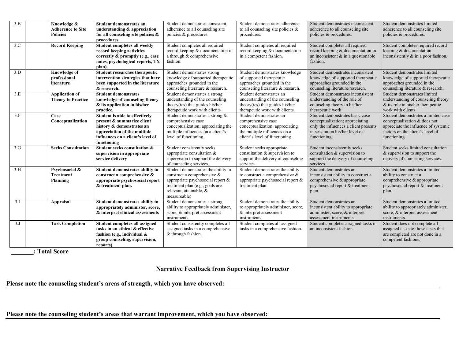| 3.B | Knowledge &<br><b>Adherence to Site</b><br><b>Policies</b> | Student demonstrates an<br>understanding & appreciation<br>for all counseling site policies &<br>procedures                                                                   | Student demonstrates consistent<br>adherence to all counseling site<br>policies & procedures.                                                                                         | Student demonstrates adherence<br>to all counseling site policies $\&$<br>procedures.                                                              | Student demonstrates inconsistent<br>adherence to all counseling site<br>policies & procedures.                                                               | Student demonstrates limited<br>adherence to all counseling site<br>policies & procedures.                                                                      |
|-----|------------------------------------------------------------|-------------------------------------------------------------------------------------------------------------------------------------------------------------------------------|---------------------------------------------------------------------------------------------------------------------------------------------------------------------------------------|----------------------------------------------------------------------------------------------------------------------------------------------------|---------------------------------------------------------------------------------------------------------------------------------------------------------------|-----------------------------------------------------------------------------------------------------------------------------------------------------------------|
| 3.C | <b>Record Keeping</b>                                      | Student completes all weekly<br>record keeping activities<br>correctly & promptly (e.g., case<br>notes, psychological reports, TX<br>plan).                                   | Student completes all required<br>record keeping & documentation in<br>a through & comprehensive<br>fashion.                                                                          | Student completes all required<br>record keeping & documentation<br>in a competent fashion.                                                        | Student completes all required<br>record keeping & documentation in<br>an inconsistent $\&$ in a questionable<br>fashion.                                     | Student completes required record<br>keeping & documentation<br>inconsistently & in a poor fashion.                                                             |
| 3.D | <b>Knowledge of</b><br>professional<br>literature          | <b>Student researches therapeutic</b><br>intervention strategies that have<br>been supported in the literature<br>& research.                                                 | Student demonstrates strong<br>knowledge of supported therapeutic<br>approaches grounded in the<br>counseling literature & research.                                                  | Student demonstrates knowledge<br>of supported therapeutic<br>approaches grounded in the<br>counseling literature & research.                      | Student demonstrates inconsistent<br>knowledge of supported therapeutic<br>approaches grounded in the<br>counseling literature/research.                      | Student demonstrates limited<br>knowledge of supported therapeutic<br>approaches grounded in the<br>counseling literature & research.                           |
| 3.E | <b>Application of</b><br><b>Theory to Practice</b>         | <b>Student demonstrates</b><br>knowledge of counseling theory<br>& its application in his/her<br>practice.                                                                    | Student demonstrates a strong<br>understanding of the counseling<br>theory(ies) that guides his/her<br>therapeutic work with clients.                                                 | Student demonstrates an<br>understanding of the counseling<br>theory(ies) that guides his/her<br>therapeutic work with clients.                    | Student demonstrates inconsistent<br>understanding of the role of<br>counseling theory in his/her<br>therapeutic work.                                        | Student demonstrates limited<br>understanding of counseling theory<br>& its role in his/her therapeutic<br>work with clients.                                   |
| 3.F | Case<br>Conceptualization                                  | Student is able to effectively<br>present & summarize client<br>history & demonstrates an<br>appreciation of the multiple<br>influences on a client's level of<br>functioning | Student demonstrates a strong &<br>comprehensive case<br>conceptualization; appreciating the<br>multiple influences on a client's<br>level of functioning.                            | Student demonstrates an<br>comprehensive case<br>conceptualization; appreciating<br>the multiple influences on a<br>client's level of functioning. | Student demonstrates basic case<br>conceptualization; appreciating<br>only the influences a client presents<br>in session on his/her level of<br>functioning. | Student demonstrates a limited case<br>conceptualization & does not<br>appreciate the influence of systemic<br>factors on the client's level of<br>functioning. |
| 3.G | <b>Seeks Consultation</b>                                  | Student seeks consultation &<br>supervision in appropriate<br>service delivery                                                                                                | Student consistently seeks<br>appropriate consultation &<br>supervision to support the delivery<br>of counseling services.                                                            | Student seeks appropriate<br>consultation & supervision to<br>support the delivery of counseling<br>services.                                      | Student inconsistently seeks<br>consultation & supervision to<br>support the delivery of counseling<br>services.                                              | Student seeks limited consultation<br>& supervision to support the<br>delivery of counseling services.                                                          |
| 3.H | Psychosocial &<br><b>Treatment</b><br>Planning             | Student demonstrates ability to<br>construct a comprehensive &<br>appropriate psychosocial report<br>& treatment plan.                                                        | Student demonstrates the ability to<br>construct a comprehensive &<br>appropriate psychosocial report &<br>treatment plan (e.g., goals are<br>relevant, attainable, &<br>measureable) | Student demonstrates the ability<br>to construct a comprehensive $\&$<br>appropriate psychosocial report &<br>treatment plan.                      | Student demonstrates an<br>inconsistent ability to construct a<br>comprehensive & appropriate<br>psychosocial report & treatment<br>plan.                     | Student demonstrates a limited<br>ability to construct a<br>comprehensive & appropriate<br>psychosocial report & treatment<br>plan.                             |
| 3.I | <b>Appraisal</b>                                           | <b>Student demonstrates ability to</b><br>appropriately administer, score,<br>& interpret clinical assessments                                                                | Student demonstrates a strong<br>ability to appropriately administer,<br>score, & interpret assessment<br>instruments.                                                                | Student demonstrates the ability<br>to appropriately administer, score,<br>& interpret assessment<br>instruments.                                  | Student demonstrates an<br>inconsistent ability to appropriate<br>administer, score, & interpret<br>assessment instruments.                                   | Student demonstrates a limited<br>ability to appropriately administer,<br>score, & interpret assessment<br>instruments.                                         |
| 3.J | <b>Task Completion</b>                                     | Student completes all assigned<br>tasks in an ethical & effective<br>fashion (e.g., individual $&$<br>group counseling, supervision,<br>reports)                              | Student consistently completes all<br>assigned tasks in a comprehensive<br>& through fashion.                                                                                         | Student completes all assigned<br>tasks in a comprehensive fashion.                                                                                | Student completes assigned tasks in<br>an inconsistent fashion.                                                                                               | Student does not complete all<br>assigned tasks & those tasks that<br>are completed are not done in a<br>competent fashions.                                    |

 **\_\_\_\_\_\_\_: Total Score** 

#### **Narrative Feedback from Supervising Instructor**

**Please note the counseling student's areas of strength, which you have observed:**

**Please note the counseling student's areas that warrant improvement, which you have observed:**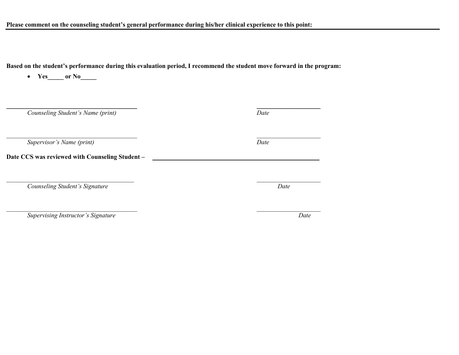**Based on the student's performance during this evaluation period, I recommend the student move forward in the program:** 

| Yes or No                                      |      |
|------------------------------------------------|------|
| Counseling Student's Name (print)              | Date |
| Supervisor's Name (print)                      | Date |
| Date CCS was reviewed with Counseling Student- |      |
| Counseling Student's Signature                 | Date |
|                                                |      |

*Supervising Instructor's Signature Date*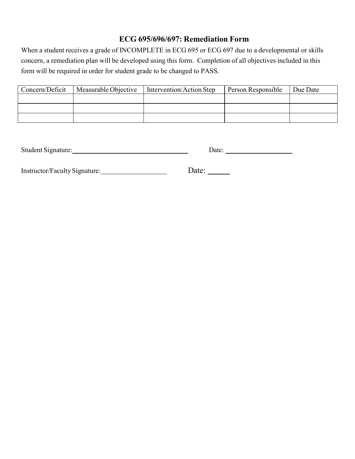# **ECG 695/696/697: Remediation Form**

When a student receives a grade of INCOMPLETE in ECG 695 or ECG 697 due to a developmental or skills concern, a remediation plan will be developed using this form. Completion of all objectives included in this form will be required in order for student grade to be changed to PASS.

| Concern/Deficit | Measurable Objective | Intervention/Action Step | Person Responsible | Due Date |
|-----------------|----------------------|--------------------------|--------------------|----------|
|                 |                      |                          |                    |          |
|                 |                      |                          |                    |          |
|                 |                      |                          |                    |          |

Student Signature: Date: Date: Date: Date: Date: Date: Date: Date: Date: Date: Date: Date: Date: Date: Date: D

| Instructor/Faculty Signature: | Date: |
|-------------------------------|-------|
|                               |       |